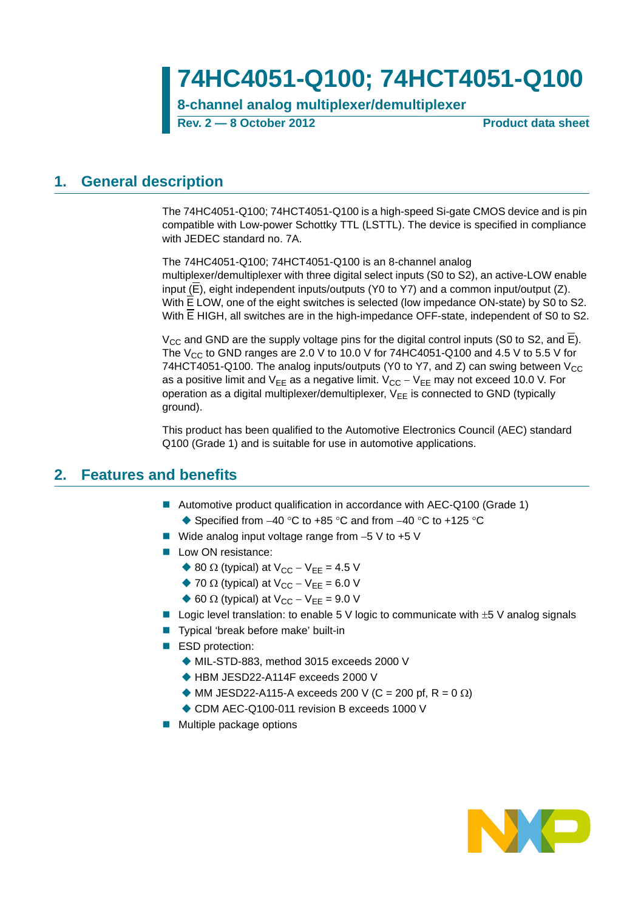# **74HC4051-Q100; 74HCT4051-Q100**

**8-channel analog multiplexer/demultiplexer**

**Rev. 2 — 8 October 2012 Product data sheet**

### <span id="page-0-0"></span>**1. General description**

The 74HC4051-Q100; 74HCT4051-Q100 is a high-speed Si-gate CMOS device and is pin compatible with Low-power Schottky TTL (LSTTL). The device is specified in compliance with JEDEC standard no. 7A.

The 74HC4051-Q100; 74HCT4051-Q100 is an 8-channel analog multiplexer/demultiplexer with three digital select inputs (S0 to S2), an active-LOW enable input  $(E)$ , eight independent inputs/outputs (Y0 to Y7) and a common input/output (Z). With E LOW, one of the eight switches is selected (low impedance ON-state) by S0 to S2. With **E** HIGH, all switches are in the high-impedance OFF-state, independent of S0 to S2.

 $V_{CC}$  and GND are the supply voltage pins for the digital control inputs (S0 to S2, and E). The V<sub>CC</sub> to GND ranges are 2.0 V to 10.0 V for 74HC4051-Q100 and 4.5 V to 5.5 V for 74HCT4051-Q100. The analog inputs/outputs (Y0 to Y7, and Z) can swing between  $V_{CC}$ as a positive limit and  $V_{EE}$  as a negative limit.  $V_{CC} - V_{EE}$  may not exceed 10.0 V. For operation as a digital multiplexer/demultiplexer,  $V_{EE}$  is connected to GND (typically ground).

This product has been qualified to the Automotive Electronics Council (AEC) standard Q100 (Grade 1) and is suitable for use in automotive applications.

### <span id="page-0-1"></span>**2. Features and benefits**

- Automotive product qualification in accordance with AEC-Q100 (Grade 1)
	- $\triangle$  Specified from -40 °C to +85 °C and from -40 °C to +125 °C
- Wide analog input voltage range from  $-5$  V to  $+5$  V
- **Low ON resistance:** 
	- ♦ 80  $\Omega$  (typical) at  $V_{CC} V_{EE} = 4.5$  V
	- $\blacklozenge$  70  $\Omega$  (typical) at V<sub>CC</sub> V<sub>EE</sub> = 6.0 V
	- $\triangle$  60  $\Omega$  (typical) at V<sub>CC</sub> V<sub>FF</sub> = 9.0 V
- Logic level translation: to enable 5 V logic to communicate with  $\pm$  5 V analog signals
- Typical 'break before make' built-in
- ESD protection:
	- MIL-STD-883, method 3015 exceeds 2000 V
	- ◆ HBM JESD22-A114F exceeds 2000 V
	- $\blacklozenge$  MM JESD22-A115-A exceeds 200 V (C = 200 pf, R = 0  $\Omega$ )
	- ◆ CDM AEC-Q100-011 revision B exceeds 1000 V
- **Multiple package options**

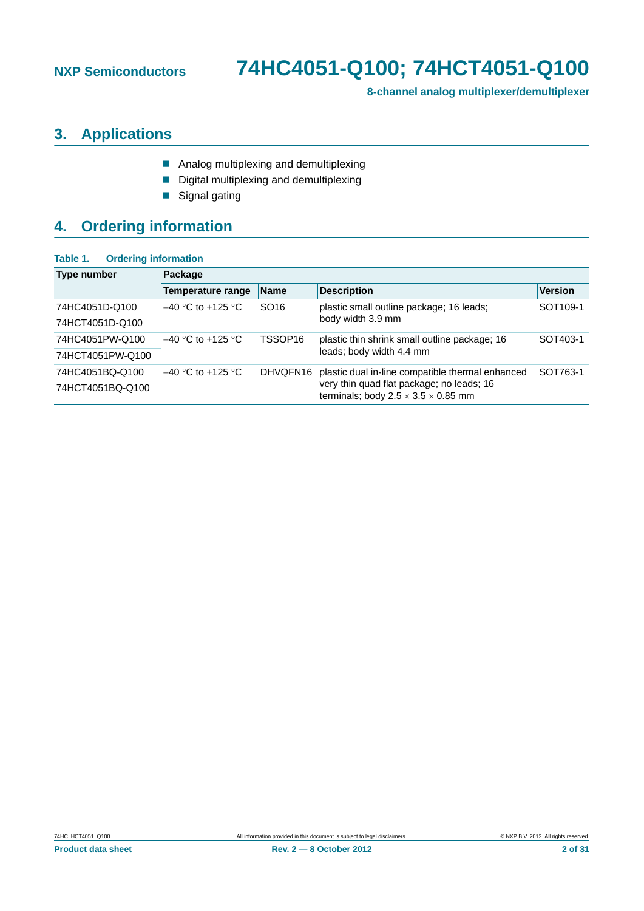**8-channel analog multiplexer/demultiplexer**

### <span id="page-1-0"></span>**3. Applications**

- **Analog multiplexing and demultiplexing**
- Digital multiplexing and demultiplexing
- Signal gating

### <span id="page-1-1"></span>**4. Ordering information**

| <b>Ordering information</b><br>Table 1. |                                 |                     |                                                                                              |                      |  |  |  |  |  |  |
|-----------------------------------------|---------------------------------|---------------------|----------------------------------------------------------------------------------------------|----------------------|--|--|--|--|--|--|
| <b>Type number</b>                      | Package                         |                     |                                                                                              |                      |  |  |  |  |  |  |
|                                         | Temperature range               | <b>Name</b>         | <b>Description</b>                                                                           | <b>Version</b>       |  |  |  |  |  |  |
| 74HC4051D-Q100                          | $-40$ °C to +125 °C             | SO <sub>16</sub>    | plastic small outline package; 16 leads;                                                     | SOT <sub>109-1</sub> |  |  |  |  |  |  |
| 74HCT4051D-Q100                         |                                 |                     | body width 3.9 mm                                                                            |                      |  |  |  |  |  |  |
| 74HC4051PW-Q100                         | $-40$ °C to +125 °C             | TSSOP <sub>16</sub> | plastic thin shrink small outline package; 16                                                | SOT403-1             |  |  |  |  |  |  |
| 74HCT4051PW-Q100                        |                                 |                     | leads; body width 4.4 mm                                                                     |                      |  |  |  |  |  |  |
| 74HC4051BQ-Q100                         | $-40$ °C to +125 °C<br>DHVQFN16 |                     | plastic dual in-line compatible thermal enhanced                                             | SOT763-1             |  |  |  |  |  |  |
| 74HCT4051BQ-Q100                        |                                 |                     | very thin quad flat package; no leads; 16<br>terminals; body $2.5 \times 3.5 \times 0.85$ mm |                      |  |  |  |  |  |  |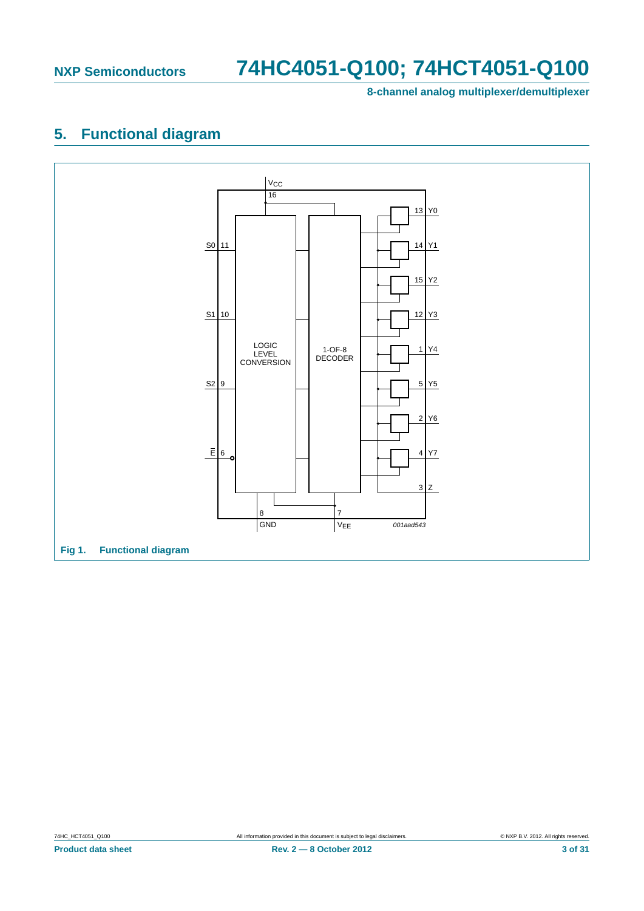**8-channel analog multiplexer/demultiplexer**

### <span id="page-2-0"></span>**5. Functional diagram**

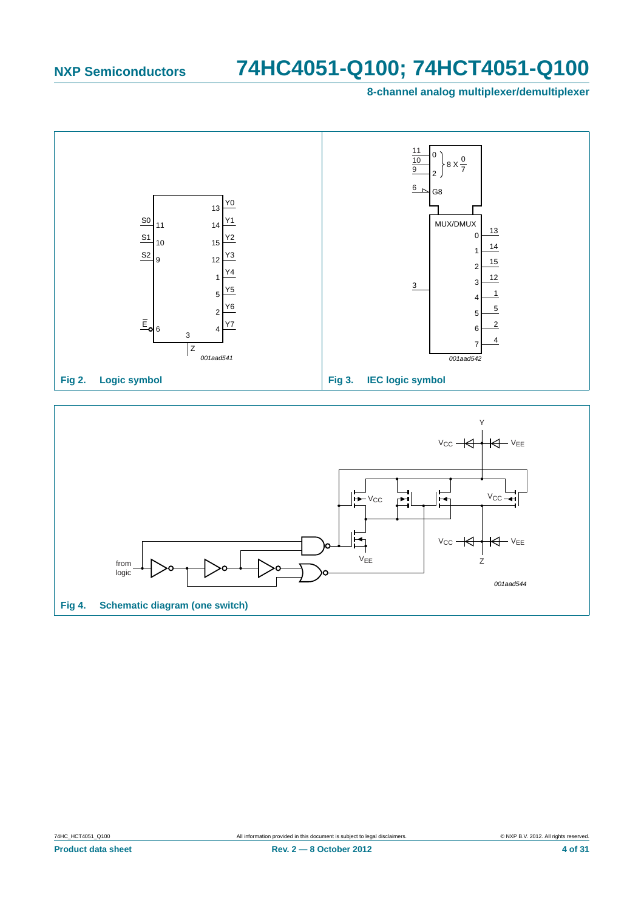**8-channel analog multiplexer/demultiplexer**



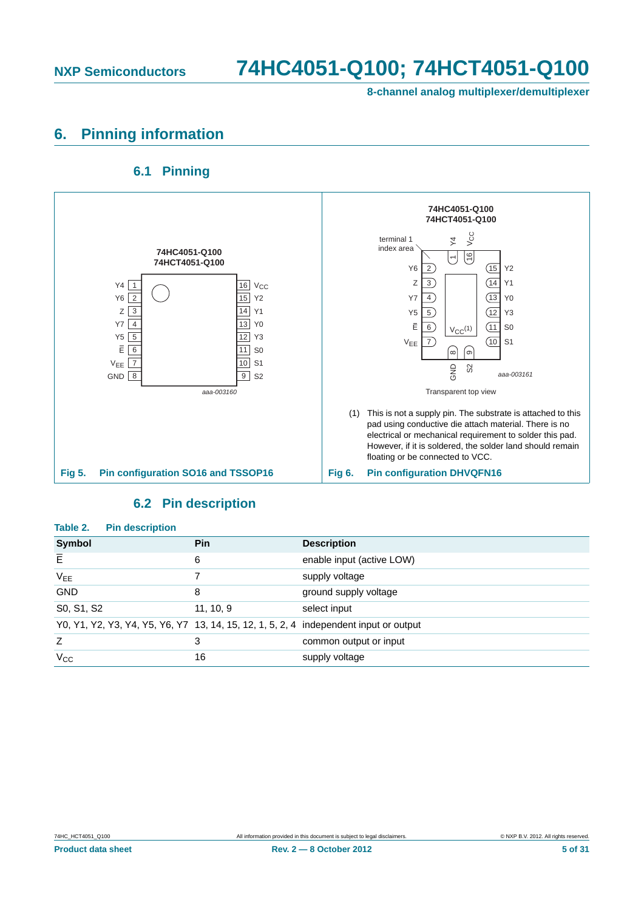**8-channel analog multiplexer/demultiplexer**

### <span id="page-4-0"></span>**6. Pinning information**

**6.1 Pinning**

#### <span id="page-4-1"></span>**74HC4051-Q100 74HCT4051-Q100** VCC terminal 1  $\overline{4}$  $\frac{1}{\sqrt{1+\frac{1}{1+\frac{1}{1+\frac{1}{1+\frac{1}{1+\frac{1}{1+\frac{1}{1+\frac{1}{1+\frac{1}{1+\frac{1}{1+\frac{1}{1+\frac{1}{1+\frac{1}{1+\frac{1}{1+\frac{1}{1+\frac{1}{1+\frac{1}{1+\frac{1}{1+\frac{1}{1+\frac{1}{1+\frac{1}{1+\frac{1}{1+\frac{1}{1+\frac{1}{1+\frac{1}{1+\frac{1}{1+\frac{1}{1+\frac{1}{1+\frac{1}{1+\frac{1}{1+\frac{1}{1+\frac{1}{1+\frac{1}{1+\frac{1}{1+\frac{1}{1+\frac{1}{1+\$ index area **74HC4051-Q100**  $\sqrt{6}$ **74HCT4051-Q100**  $\overline{ }$  $Y6 \tbinom{2}{2}$  (15  $Y2$  $Z \overline{3}$  |  $\overline{14} \overline{1}$  Y1  $Y4$  1  $Y4 \begin{array}{|c|c|c|c|c|} \hline 1 & \quad & 16 \end{array}$   $V_{CC}$  $Y6$  2 Y6 2 \ / 15 Y2  $YZ \rceil 4$  |  $\rceil$  |  $\rceil$   $\rceil$   $\rceil$   $\rceil$   $\rceil$  $Z\sqrt{3}$  $Z \t3$  14 Y1  $\sqrt{5}$  5 |  $\sqrt{12}$   $\sqrt{3}$  $Y7$  4 Y7 4 13 Y0  $\bar{E}$  6 |  $V_{CC}^{(1)}$  | (11 S0 5 Y5 5 2 12 Y3  $V_{EE}$   $\boxed{7}$   $\boxed{2}$   $\boxed{10}$  S1  $\sqrt{10}$  $E\sqrt{6}$  $E = 6$  11 S0 ່ ග  $\overline{10}$  S1  $V_{EE}$  7 10 S1 GND S *aaa-003161*  $\overline{9}$  S<sub>2</sub>  $GND \begin{bmatrix} 8 \\ 9 \end{bmatrix}$  S2 *aaa-003160* Transparent top view (1) This is not a supply pin. The substrate is attached to this pad using conductive die attach material. There is no electrical or mechanical requirement to solder this pad. However, if it is soldered, the solder land should remain floating or be connected to VCC. **Fig 5. Pin configuration SO16 and TSSOP16 Fig 6. Pin configuration DHVQFN16**

#### **6.2 Pin description**

<span id="page-4-2"></span>

| Table 2.<br><b>Pin description</b>                                                    |           |                           |
|---------------------------------------------------------------------------------------|-----------|---------------------------|
| <b>Symbol</b>                                                                         | Pin       | <b>Description</b>        |
| E                                                                                     | 6         | enable input (active LOW) |
| V <sub>EE</sub>                                                                       | 7         | supply voltage            |
| <b>GND</b>                                                                            | 8         | ground supply voltage     |
| S0, S1, S2                                                                            | 11, 10, 9 | select input              |
| Y0, Y1, Y2, Y3, Y4, Y5, Y6, Y7 13, 14, 15, 12, 1, 5, 2, 4 independent input or output |           |                           |
| Z                                                                                     | 3         | common output or input    |
| $V_{\rm CC}$                                                                          | 16        | supply voltage            |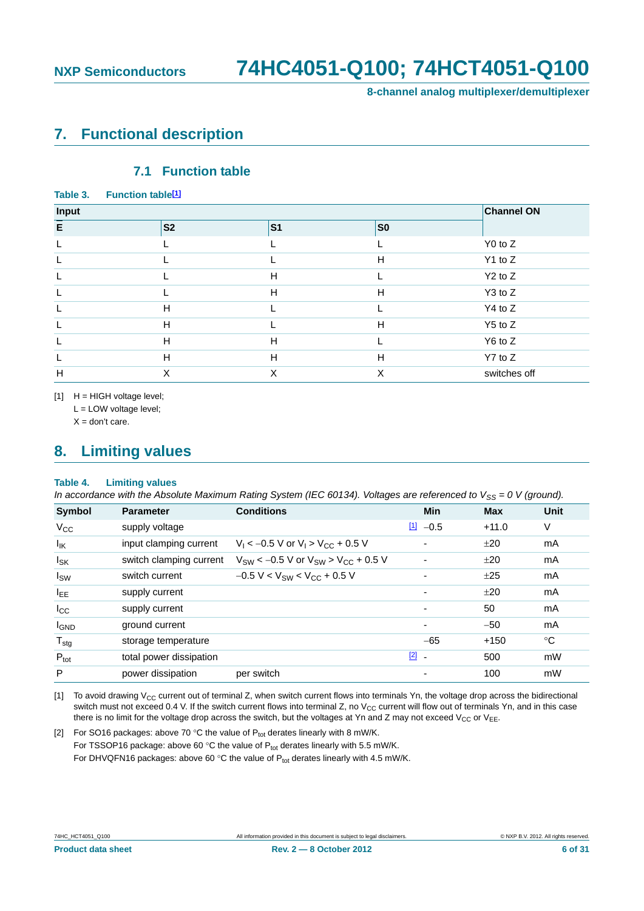**8-channel analog multiplexer/demultiplexer**

### <span id="page-5-3"></span>**7. Functional description**

#### **7.1 Function table**

<span id="page-5-4"></span>

| Table 3. | <b>Function table[1]</b> |           |                |                   |
|----------|--------------------------|-----------|----------------|-------------------|
| Input    |                          |           |                | <b>Channel ON</b> |
| E        | <b>S2</b>                | <b>S1</b> | S <sub>0</sub> |                   |
| L        |                          |           |                | $Y0$ to $Z$       |
|          |                          |           | H              | $Y1$ to $Z$       |
| L        |                          | H         |                | $Y2$ to $Z$       |
|          |                          | H         | H              | Y3 to Z           |
|          | H                        |           |                | Y4 to Z           |
|          | H                        |           | H              | $Y5$ to Z         |
| L.       | H                        | H         |                | Y6 to Z           |
|          | H                        | H         | H              | $Y7$ to $Z$       |
| H        | X                        | X         | X              | switches off      |

<span id="page-5-0"></span>[1] H = HIGH voltage level;

L = LOW voltage level;

 $X =$  don't care.

### <span id="page-5-5"></span>**8. Limiting values**

#### **Table 4. Limiting values**

*In accordance with the Absolute Maximum Rating System (IEC 60134). Voltages are referenced to V<sub>SS</sub> = 0 V (ground).* 

| <b>Symbol</b>     | <b>Parameter</b>        | <b>Conditions</b>                                | Min                      | <b>Max</b> | <b>Unit</b> |
|-------------------|-------------------------|--------------------------------------------------|--------------------------|------------|-------------|
| $V_{\rm CC}$      | supply voltage          |                                                  | $11 - 0.5$               | $+11.0$    | V           |
| $I_{\mathsf{IK}}$ | input clamping current  | $V_1$ < -0.5 V or $V_1$ > $V_{CC}$ + 0.5 V       | ۰                        | ±20        | mA          |
| $I_{SK}$          | switch clamping current | $V_{SW}$ < -0.5 V or $V_{SW}$ > $V_{CC}$ + 0.5 V |                          | ±20        | mA          |
| $I_{SW}$          | switch current          | $-0.5 V < V_{SW} < V_{CC} + 0.5 V$               |                          | ±25        | mA          |
| $I_{EE}$          | supply current          |                                                  | ٠                        | ±20        | mA          |
| $I_{\rm CC}$      | supply current          |                                                  | $\overline{\phantom{0}}$ | 50         | mA          |
| <b>I</b> GND      | ground current          |                                                  | ۰                        | $-50$      | mA          |
| $T_{\text{stg}}$  | storage temperature     |                                                  | $-65$                    | $+150$     | °C          |
| $P_{\text{tot}}$  | total power dissipation |                                                  | $\boxed{2}$ -            | 500        | mW          |
| P                 | power dissipation       | per switch                                       | ٠                        | 100        | mW          |

<span id="page-5-1"></span>[1] To avoid drawing  $V_{CC}$  current out of terminal Z, when switch current flows into terminals Yn, the voltage drop across the bidirectional switch must not exceed 0.4 V. If the switch current flows into terminal Z, no  $V_{CC}$  current will flow out of terminals Yn, and in this case there is no limit for the voltage drop across the switch, but the voltages at Yn and Z may not exceed  $V_{CC}$  or  $V_{EE}$ .

<span id="page-5-2"></span>[2] For SO16 packages: above 70 °C the value of  $P_{tot}$  derates linearly with 8 mW/K. For TSSOP16 package: above 60 °C the value of  $P_{tot}$  derates linearly with 5.5 mW/K. For DHVQFN16 packages: above 60 °C the value of  $P_{tot}$  derates linearly with 4.5 mW/K.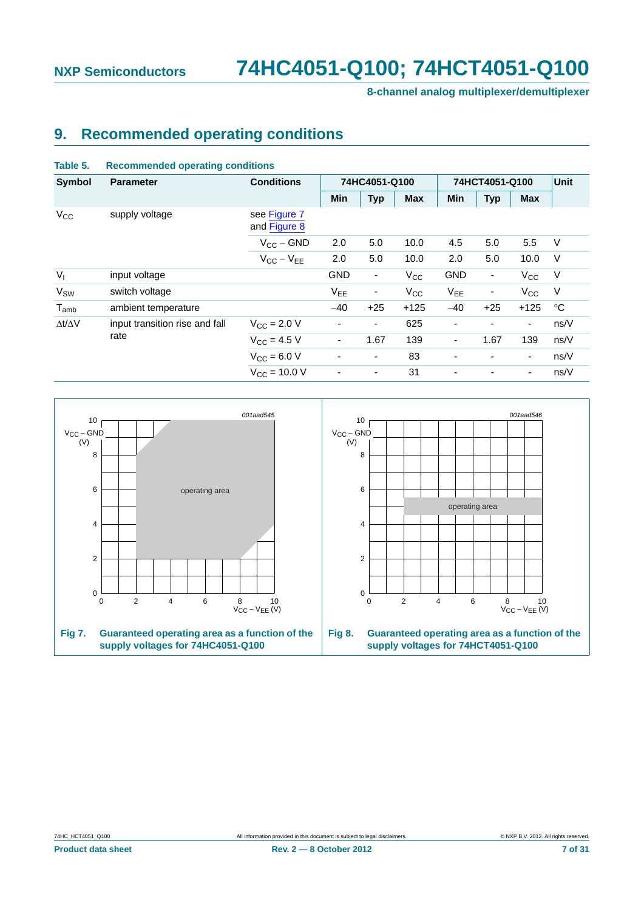**8-channel analog multiplexer/demultiplexer**

### <span id="page-6-2"></span>**9. Recommended operating conditions**

| Table 5.              | <b>Recommended operating conditions</b> |                                  |                          |                          |              |                          |                          |                          |             |
|-----------------------|-----------------------------------------|----------------------------------|--------------------------|--------------------------|--------------|--------------------------|--------------------------|--------------------------|-------------|
| <b>Symbol</b>         | <b>Parameter</b>                        | <b>Conditions</b>                |                          | 74HC4051-Q100            |              | 74HCT4051-Q100           |                          |                          | Unit        |
|                       |                                         |                                  | Min                      | <b>Typ</b>               | <b>Max</b>   | Min                      | <b>Typ</b>               | <b>Max</b>               |             |
| $V_{\rm CC}$          | supply voltage                          | see Figure 7<br>and Figure 8     |                          |                          |              |                          |                          |                          |             |
|                       |                                         | $V_{CC}$ – GND                   | 2.0                      | 5.0                      | 10.0         | 4.5                      | 5.0                      | 5.5                      | V           |
|                       |                                         | $V_{CC} - V_{EE}$                | 2.0                      | 5.0                      | 10.0         | 2.0                      | 5.0                      | 10.0                     | $\vee$      |
| $V_{I}$               | input voltage                           |                                  | <b>GND</b>               | $\overline{\phantom{a}}$ | $V_{\rm CC}$ | <b>GND</b>               | $\overline{\phantom{a}}$ | $V_{\rm CC}$             | $\vee$      |
| <b>V<sub>SW</sub></b> | switch voltage                          |                                  | V <sub>EE</sub>          | ٠                        | $V_{\rm CC}$ | V <sub>EE</sub>          | $\overline{\phantom{a}}$ | $V_{\rm CC}$             | V           |
| $T_{amb}$             | ambient temperature                     |                                  | $-40$                    | $+25$                    | $+125$       | $-40$                    | $+25$                    | $+125$                   | $^{\circ}C$ |
| $\Delta t/\Delta V$   | input transition rise and fall          | $V_{\rm CC}$ = 2.0 V             | $\overline{\phantom{a}}$ | Ξ.                       | 625          | $\overline{\phantom{a}}$ | ٠                        | $\overline{\phantom{a}}$ | ns/V        |
|                       | rate                                    | $V_{CC} = 4.5 V$                 | $\overline{\phantom{0}}$ | 1.67                     | 139          |                          | 1.67                     | 139                      | ns/V        |
|                       |                                         | $V_{\rm CC} = 6.0 V$             | ٠                        | $\overline{\phantom{a}}$ | 83           | $\overline{\phantom{0}}$ | ۰                        | $\overline{\phantom{a}}$ | ns/V        |
|                       |                                         | $V_{\text{CC}} = 10.0 \text{ V}$ |                          | $\overline{\phantom{a}}$ | 31           |                          |                          | $\overline{\phantom{a}}$ | ns/V        |

<span id="page-6-1"></span><span id="page-6-0"></span>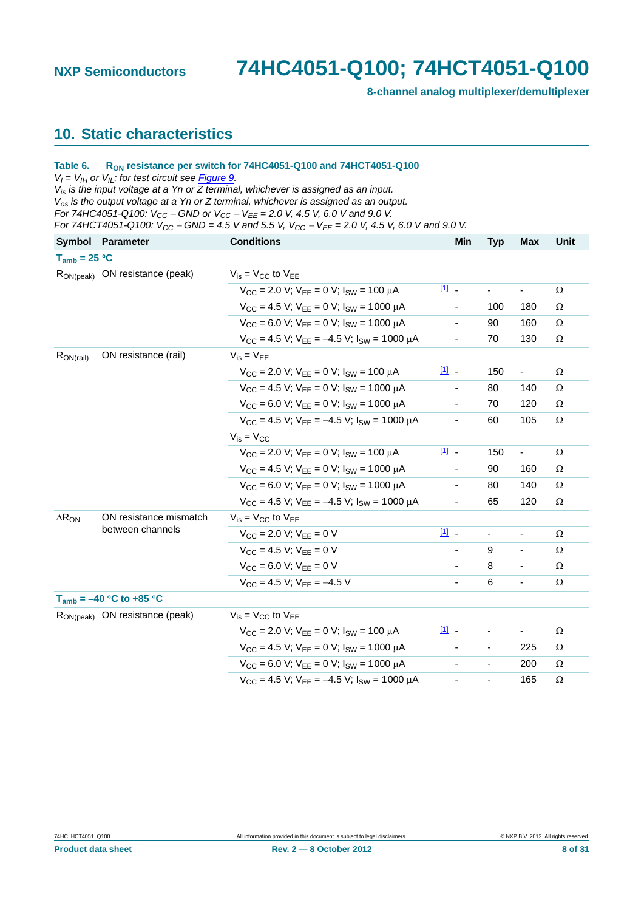**8-channel analog multiplexer/demultiplexer**

### <span id="page-7-0"></span>**10. Static characteristics**

#### Table 6. R<sub>ON</sub> resistance per switch for 74HC4051-Q100 and 74HCT4051-Q100

 $V_I = V_{II}$  or  $V_{IL}$ ; for test circuit see *Figure 9.* 

*Vis is the input voltage at a Yn or Z terminal, whichever is assigned as an input. Vos is the output voltage at a Yn or Z terminal, whichever is assigned as an output. For 74HC4051-Q100: V<sub>CC</sub> – GND or V<sub>CC</sub> – V<sub>EE</sub> = 2.0 V, 4.5 V, 6.0 V and 9.0 V.* 

*For 74HCT4051-Q100: VCC GND = 4.5 V and 5.5 V, VCC VEE = 2.0 V, 4.5 V, 6.0 V and 9.0 V.*

|                   | Symbol Parameter                           | <b>Conditions</b>                                            | Min                      | <b>Typ</b>               | Max                      | Unit     |
|-------------------|--------------------------------------------|--------------------------------------------------------------|--------------------------|--------------------------|--------------------------|----------|
| $T_{amb} = 25 °C$ |                                            |                                                              |                          |                          |                          |          |
|                   | R <sub>ON(peak)</sub> ON resistance (peak) | $V_{is} = V_{CC}$ to $V_{EE}$                                |                          |                          |                          |          |
|                   |                                            | $V_{CC}$ = 2.0 V; $V_{FF}$ = 0 V; $I_{SW}$ = 100 $\mu$ A     | $\boxed{11}$             | $\overline{\phantom{a}}$ | ÷,                       | Ω        |
|                   |                                            | $V_{CC}$ = 4.5 V; $V_{FF}$ = 0 V; $I_{SW}$ = 1000 $\mu$ A    | $\overline{\phantom{a}}$ | 100                      | 180                      | Ω        |
|                   |                                            | $V_{CC}$ = 6.0 V; $V_{FF}$ = 0 V; $I_{SW}$ = 1000 $\mu$ A    |                          | 90                       | 160                      | Ω        |
|                   |                                            | $V_{CC}$ = 4.5 V; $V_{FF}$ = -4.5 V; $I_{SW}$ = 1000 $\mu$ A | $\blacksquare$           | 70                       | 130                      | Ω        |
| $R_{ON(rail)}$    | ON resistance (rail)                       | $V_{is} = V_{EE}$                                            |                          |                          |                          |          |
|                   |                                            | $V_{CC}$ = 2.0 V; $V_{EE}$ = 0 V; $I_{SW}$ = 100 $\mu$ A     | $\boxed{11}$             | 150                      | $\overline{\phantom{a}}$ | Ω        |
|                   |                                            | $V_{CC}$ = 4.5 V; $V_{FF}$ = 0 V; $I_{SW}$ = 1000 $\mu$ A    |                          | 80                       | 140                      | $\Omega$ |
|                   |                                            | $V_{CC}$ = 6.0 V; $V_{FF}$ = 0 V; $I_{SW}$ = 1000 $\mu$ A    | $\blacksquare$           | 70                       | 120                      | Ω        |
|                   |                                            | $V_{CC}$ = 4.5 V; $V_{FF}$ = -4.5 V; $I_{SW}$ = 1000 $\mu$ A | -                        | 60                       | 105                      | Ω        |
|                   |                                            | $V_{is} = V_{CC}$                                            |                          |                          |                          |          |
|                   |                                            | $V_{CC}$ = 2.0 V; $V_{EE}$ = 0 V; $I_{SW}$ = 100 $\mu$ A     | [1] -                    | 150                      | $\overline{\phantom{a}}$ | Ω        |
|                   |                                            | $V_{CC}$ = 4.5 V; $V_{EE}$ = 0 V; $I_{SW}$ = 1000 $\mu$ A    | $\overline{\phantom{a}}$ | 90                       | 160                      | Ω        |
|                   |                                            | $V_{CC}$ = 6.0 V; $V_{FF}$ = 0 V; $I_{SW}$ = 1000 $\mu$ A    |                          | 80                       | 140                      | Ω        |
|                   |                                            | $V_{CC}$ = 4.5 V; $V_{FF}$ = -4.5 V; $I_{SW}$ = 1000 $\mu$ A | $\overline{\phantom{a}}$ | 65                       | 120                      | Ω        |
| $\Delta R_{ON}$   | ON resistance mismatch                     | $V_{is} = V_{CC}$ to $V_{EE}$                                |                          |                          |                          |          |
|                   | between channels                           | $V_{CC}$ = 2.0 V; $V_{FF}$ = 0 V                             | [1] -                    | $\blacksquare$           |                          | Ω        |
|                   |                                            | $V_{CC} = 4.5 V$ ; $V_{FF} = 0 V$                            |                          | 9                        | ÷,                       | $\Omega$ |
|                   |                                            | $V_{CC}$ = 6.0 V; $V_{FF}$ = 0 V                             |                          | 8                        | $\overline{\phantom{a}}$ | Ω        |
|                   |                                            | $V_{CC}$ = 4.5 V; $V_{FF}$ = -4.5 V                          |                          | 6                        | ÷,                       | Ω        |
|                   | $T_{amb} = -40 °C$ to +85 °C               |                                                              |                          |                          |                          |          |
|                   | R <sub>ON(peak)</sub> ON resistance (peak) | $V_{is} = V_{CC}$ to $V_{FF}$                                |                          |                          |                          |          |
|                   |                                            | $V_{CC}$ = 2.0 V; $V_{EE}$ = 0 V; $I_{SW}$ = 100 $\mu$ A     | $11 -$                   | $\blacksquare$           | $\blacksquare$           | $\Omega$ |
|                   |                                            | $V_{CC}$ = 4.5 V; $V_{EE}$ = 0 V; $I_{SW}$ = 1000 µA         |                          | $\overline{\phantom{a}}$ | 225                      | $\Omega$ |
|                   |                                            | $V_{CC}$ = 6.0 V; $V_{FF}$ = 0 V; $I_{SW}$ = 1000 $\mu$ A    |                          | $\blacksquare$           | 200                      | $\Omega$ |
|                   |                                            | $V_{CC}$ = 4.5 V; $V_{FF}$ = -4.5 V; $I_{SW}$ = 1000 $\mu$ A | ٠                        | $\blacksquare$           | 165                      | Ω        |
|                   |                                            |                                                              |                          |                          |                          |          |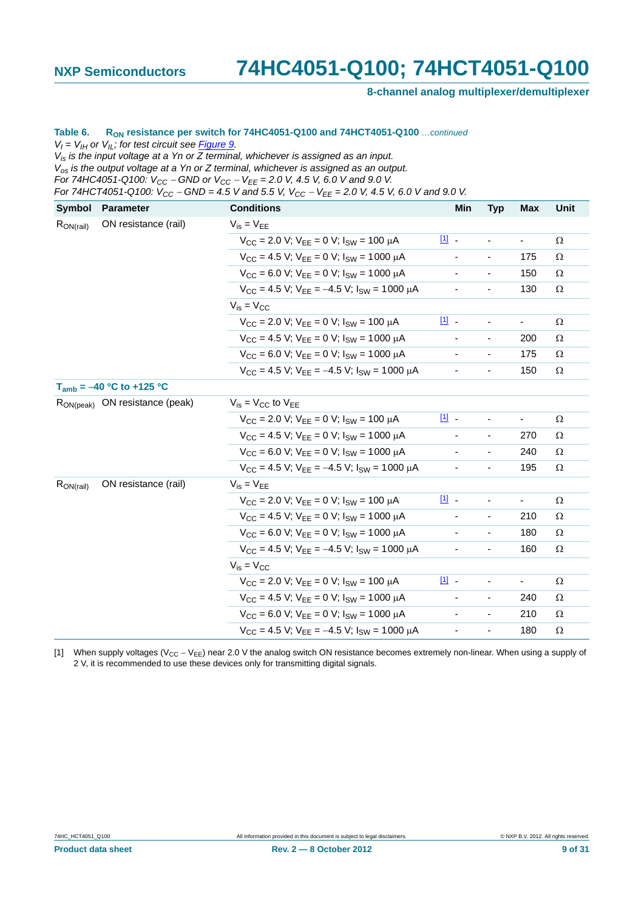**8-channel analog multiplexer/demultiplexer**

#### Table 6. R<sub>ON</sub> resistance per switch for 74HC4051-Q100 and 74HCT4051-Q100 *...continued*

 $V_I = V_{II}$  or  $V_{IL}$ ; for test circuit see **Figure 9.** 

*Vis is the input voltage at a Yn or Z terminal, whichever is assigned as an input. Vos is the output voltage at a Yn or Z terminal, whichever is assigned as an output.*

*For 74HC4051-Q100:*  $V_{CC}$  – *GND or*  $V_{CC}$  –  $V_{EE}$  = 2.0 V, 4.5 V, 6.0 V and 9.0 V.

*For 74HCT4051-Q100:*  $V_{CC}$  – GND = 4.5 V and 5.5 V,  $V_{CC}$  –  $V_{EE}$  = 2.0 V, 4.5 V, 6.0 V and 9.0 V.

| Symbol         | <b>Parameter</b>                           | <b>Conditions</b>                                            | Min                      | <b>Typ</b>               | <b>Max</b> | Unit     |
|----------------|--------------------------------------------|--------------------------------------------------------------|--------------------------|--------------------------|------------|----------|
| $R_{ON(rail)}$ | ON resistance (rail)                       | $V_{is} = V_{EE}$                                            |                          |                          |            |          |
|                |                                            | $V_{CC}$ = 2.0 V; $V_{FF}$ = 0 V; $I_{SW}$ = 100 $\mu$ A     | $11 -$                   |                          | ÷,         | Ω        |
|                |                                            | $V_{CC}$ = 4.5 V; $V_{EE}$ = 0 V; $I_{SW}$ = 1000 $\mu$ A    | $\blacksquare$           | $\overline{\phantom{a}}$ | 175        | Ω        |
|                |                                            | $V_{CC}$ = 6.0 V; $V_{FF}$ = 0 V; $I_{SW}$ = 1000 $\mu$ A    |                          | $\blacksquare$           | 150        | Ω        |
|                |                                            | $V_{CC}$ = 4.5 V; $V_{FF}$ = -4.5 V; $I_{SW}$ = 1000 $\mu$ A |                          |                          | 130        | Ω        |
|                |                                            | $V_{is} = V_{CC}$                                            |                          |                          |            |          |
|                |                                            | $V_{CC}$ = 2.0 V; $V_{FF}$ = 0 V; $I_{SW}$ = 100 $\mu$ A     | $11$ .                   |                          | ۳          | Ω        |
|                |                                            | $V_{CC}$ = 4.5 V; $V_{EE}$ = 0 V; $I_{SW}$ = 1000 $\mu$ A    | $\overline{\phantom{a}}$ | $\overline{\phantom{a}}$ | 200        | Ω        |
|                |                                            | $V_{CC}$ = 6.0 V; $V_{EE}$ = 0 V; $I_{SW}$ = 1000 $\mu$ A    |                          | $\overline{\phantom{a}}$ | 175        | Ω        |
|                |                                            | $V_{CC}$ = 4.5 V; $V_{EE}$ = -4.5 V; $I_{SW}$ = 1000 $\mu$ A |                          | $\overline{\phantom{0}}$ | 150        | Ω        |
|                | $T_{amb} = -40 °C$ to +125 °C              |                                                              |                          |                          |            |          |
|                | R <sub>ON(peak)</sub> ON resistance (peak) | $V_{\text{is}} = V_{\text{CC}}$ to $V_{\text{EE}}$           |                          |                          |            |          |
|                |                                            | $V_{CC}$ = 2.0 V; $V_{FF}$ = 0 V; $I_{SW}$ = 100 $\mu$ A     | $11 -$                   |                          |            | Ω        |
|                |                                            | $V_{CC}$ = 4.5 V; $V_{EE}$ = 0 V; $I_{SW}$ = 1000 $\mu$ A    |                          | $\overline{\phantom{a}}$ | 270        | Ω        |
|                |                                            | $V_{CC}$ = 6.0 V; $V_{FF}$ = 0 V; $I_{SW}$ = 1000 $\mu$ A    |                          | $\blacksquare$           | 240        | Ω        |
|                |                                            | $V_{CC}$ = 4.5 V; $V_{FF}$ = -4.5 V; $I_{SW}$ = 1000 $\mu$ A |                          |                          | 195        | Ω        |
| $R_{ON(rail)}$ | ON resistance (rail)                       | $V_{is} = V_{EE}$                                            |                          |                          |            |          |
|                |                                            | $V_{CC}$ = 2.0 V; $V_{EE}$ = 0 V; $I_{SW}$ = 100 $\mu$ A     | 凹.                       |                          |            | Ω        |
|                |                                            | $V_{CC}$ = 4.5 V; $V_{EE}$ = 0 V; $I_{SW}$ = 1000 $\mu$ A    |                          |                          | 210        | Ω        |
|                |                                            | $V_{CC}$ = 6.0 V; $V_{FF}$ = 0 V; $I_{SW}$ = 1000 $\mu$ A    |                          | $\overline{\phantom{a}}$ | 180        | Ω        |
|                |                                            | $V_{CC}$ = 4.5 V; $V_{EE}$ = -4.5 V; $I_{SW}$ = 1000 $\mu$ A |                          | $\overline{\phantom{0}}$ | 160        | $\Omega$ |
|                |                                            | $V_{is} = V_{CC}$                                            |                          |                          |            |          |
|                |                                            | $V_{CC}$ = 2.0 V; $V_{EE}$ = 0 V; $I_{SW}$ = 100 $\mu$ A     | $\boxed{11}$             |                          |            | Ω        |
|                |                                            | $V_{CC}$ = 4.5 V; $V_{FF}$ = 0 V; $I_{SW}$ = 1000 $\mu$ A    |                          | $\overline{\phantom{a}}$ | 240        | $\Omega$ |
|                |                                            | $V_{CC}$ = 6.0 V; $V_{FF}$ = 0 V; $I_{SW}$ = 1000 $\mu$ A    |                          | $\blacksquare$           | 210        | Ω        |
|                |                                            | $V_{CC}$ = 4.5 V; $V_{FF}$ = -4.5 V; $I_{SW}$ = 1000 $\mu$ A |                          | $\overline{\phantom{a}}$ | 180        | Ω        |

<span id="page-8-0"></span>[1] When supply voltages ( $V_{CC} - V_{EE}$ ) near 2.0 V the analog switch ON resistance becomes extremely non-linear. When using a supply of 2 V, it is recommended to use these devices only for transmitting digital signals.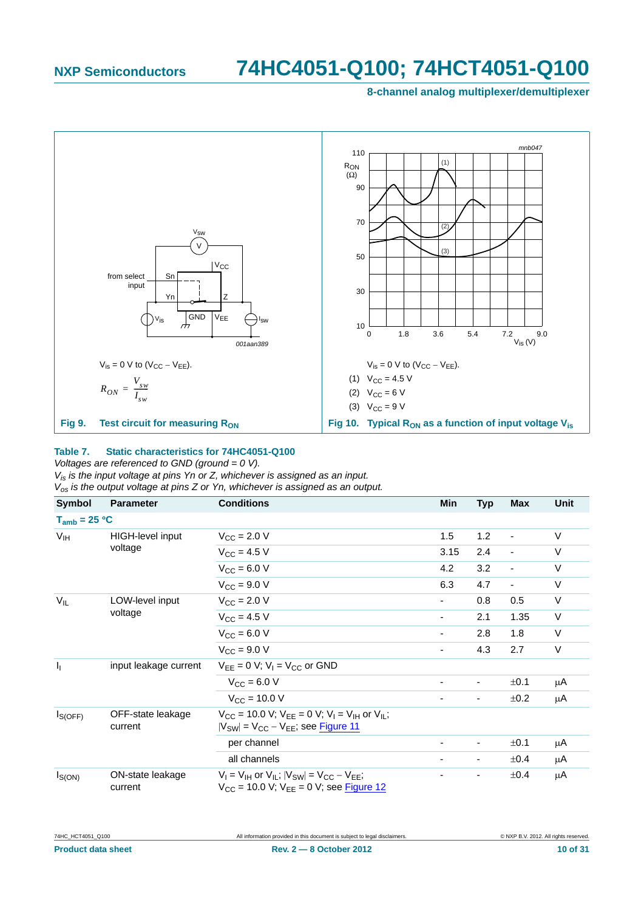**8-channel analog multiplexer/demultiplexer**



#### <span id="page-9-0"></span>**Table 7. Static characteristics for 74HC4051-Q100**

*Voltages are referenced to GND (ground = 0 V).*

*Vis is the input voltage at pins Yn or Z, whichever is assigned as an input. Vos is the output voltage at pins Z or Yn, whichever is assigned as an output.*

| Symbol            | <b>Parameter</b>             | <b>Conditions</b>                                                                                                                 | Min  | <b>Typ</b>               | Max                      | <b>Unit</b> |
|-------------------|------------------------------|-----------------------------------------------------------------------------------------------------------------------------------|------|--------------------------|--------------------------|-------------|
| $T_{amb}$ = 25 °C |                              |                                                                                                                                   |      |                          |                          |             |
| V <sub>IH</sub>   | HIGH-level input             | $V_{\rm CC}$ = 2.0 V                                                                                                              | 1.5  | 1.2                      | $\overline{\phantom{a}}$ | V           |
|                   | voltage                      | $V_{\text{CC}} = 4.5 V$                                                                                                           | 3.15 | 2.4                      | $\overline{\phantom{a}}$ | V           |
|                   |                              | $V_{CC}$ = 6.0 V                                                                                                                  | 4.2  | 3.2                      | $\overline{\phantom{a}}$ | V           |
|                   |                              | $V_{\text{CC}} = 9.0 V$                                                                                                           | 6.3  | 4.7                      | $\blacksquare$           | V           |
| $V_{IL}$          | LOW-level input              | $V_{\text{CC}} = 2.0 V$                                                                                                           |      | 0.8                      | 0.5                      | $\vee$      |
|                   | voltage                      | $V_{CC}$ = 4.5 V                                                                                                                  | ۰    | 2.1                      | 1.35                     | V           |
|                   |                              | $V_{CC}$ = 6.0 V                                                                                                                  | -    | 2.8                      | 1.8                      | V           |
|                   |                              | $V_{\text{CC}} = 9.0 V$                                                                                                           | -    | 4.3                      | 2.7                      | V           |
| I <sub>1</sub>    | input leakage current        | $V_{FF} = 0$ V; $V_1 = V_{CC}$ or GND                                                                                             |      |                          |                          |             |
|                   |                              | $V_{CC} = 6.0 V$                                                                                                                  |      | $\overline{\phantom{a}}$ | ±0.1                     | μA          |
|                   |                              | $V_{CC} = 10.0 V$                                                                                                                 |      | $\blacksquare$           | ±0.2                     | μA          |
| $I_{S(OFF)}$      | OFF-state leakage<br>current | $V_{CC}$ = 10.0 V; $V_{FF}$ = 0 V; $V_{I}$ = V <sub>IH</sub> or V <sub>II</sub> ;<br>$ V_{SW}  = V_{CC} - V_{EE}$ ; see Figure 11 |      |                          |                          |             |
|                   |                              | per channel                                                                                                                       |      | $\overline{\phantom{a}}$ | ±0.1                     | μA          |
|                   |                              | all channels                                                                                                                      |      | $\overline{\phantom{a}}$ | $\pm 0.4$                | μA          |
| $I_{S(ON)}$       | ON-state leakage<br>current  | $V_1 = V_{1H}$ or $V_{1L}$ ; $ V_{SW}  = V_{CC} - V_{EE}$ ;<br>$V_{CC}$ = 10.0 V; $V_{EE}$ = 0 V; see Figure 12                   |      |                          | ±0.4                     | μA          |

| 74HC HCT4051 Q100         | All information provided in this document is subject to legal disclaimers. | © NXP B.V. 2012. All rights reserved |
|---------------------------|----------------------------------------------------------------------------|--------------------------------------|
| <b>Product data sheet</b> | $Rev. 2 - 8 October 2012$                                                  | 10 of 31                             |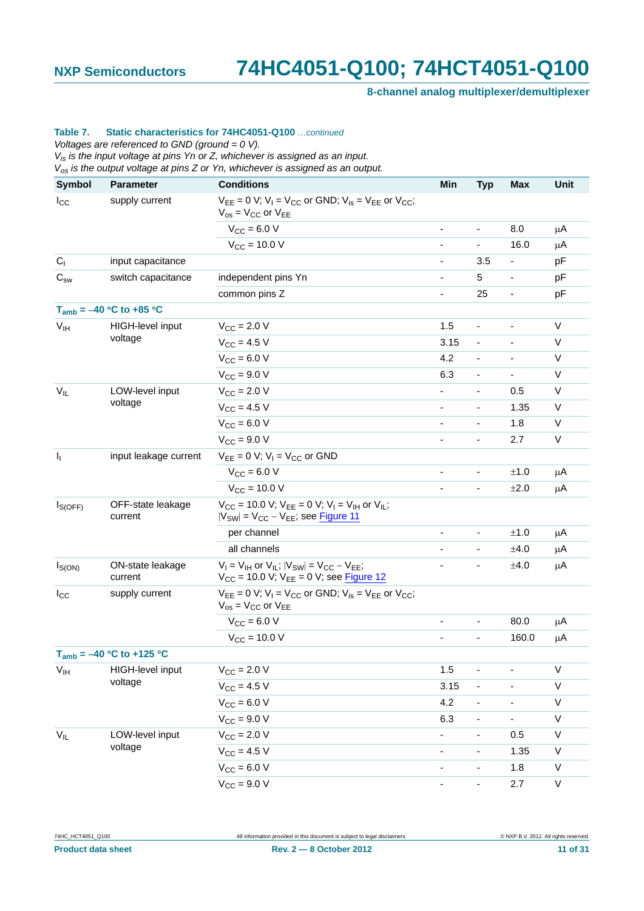**8-channel analog multiplexer/demultiplexer**

#### **Table 7. Static characteristics for 74HC4051-Q100** *…continued*

*Voltages are referenced to GND (ground = 0 V).*

*Vis is the input voltage at pins Yn or Z, whichever is assigned as an input.*

*Vos is the output voltage at pins Z or Yn, whichever is assigned as an output.*

| <b>Symbol</b>                                | <b>Parameter</b>              | <b>Conditions</b>                                                                                                        | Min                      | <b>Typ</b>                   | Max                      | Unit        |
|----------------------------------------------|-------------------------------|--------------------------------------------------------------------------------------------------------------------------|--------------------------|------------------------------|--------------------------|-------------|
| $I_{\rm CC}$                                 | supply current                | $V_{EE} = 0$ V; $V_1 = V_{CC}$ or GND; $V_{is} = V_{EE}$ or $V_{CC}$ ;<br>$V_{OS}$ = $V_{CC}$ or $V_{EE}$                |                          |                              |                          |             |
|                                              |                               | $V_{CC} = 6.0 V$                                                                                                         | ÷,                       | $\blacksquare$               | 8.0                      | $\mu$ A     |
|                                              |                               | $V_{CC}$ = 10.0 V                                                                                                        | $\overline{\phantom{0}}$ | $\blacksquare$               | 16.0                     | μA          |
| $C_{1}$                                      | input capacitance             |                                                                                                                          |                          | 3.5                          |                          | pF          |
| $\mathrm{C}_{\scriptscriptstyle\mathrm{SW}}$ | switch capacitance            | independent pins Yn                                                                                                      | -                        | 5                            | -                        | pF          |
|                                              |                               | common pins Z                                                                                                            |                          | 25                           | -                        | pF          |
|                                              | $T_{amb} = -40 °C$ to +85 °C  |                                                                                                                          |                          |                              |                          |             |
| V <sub>IH</sub>                              | HIGH-level input              | $V_{\text{CC}} = 2.0 V$                                                                                                  | 1.5                      | $\blacksquare$               |                          | V           |
|                                              | voltage                       | $V_{CC}$ = 4.5 V                                                                                                         | 3.15                     | $\overline{\phantom{a}}$     |                          | V           |
|                                              |                               | $V_{CC} = 6.0 V$                                                                                                         | 4.2                      | $\overline{a}$               |                          | V           |
|                                              |                               | $V_{\text{CC}} = 9.0 V$                                                                                                  | 6.3                      | $\overline{\phantom{a}}$     | $\overline{\phantom{a}}$ | V           |
| $V_{IL}$                                     | LOW-level input               | $V_{CC}$ = 2.0 V                                                                                                         |                          | L.                           | 0.5                      | $\vee$      |
|                                              | voltage                       | $V_{CC} = 4.5 V$                                                                                                         | $\overline{\phantom{0}}$ | $\overline{\phantom{a}}$     | 1.35                     | V           |
|                                              |                               | $V_{CC}$ = 6.0 V                                                                                                         |                          |                              | 1.8                      | $\vee$      |
|                                              |                               | $V_{CC}$ = 9.0 V                                                                                                         | -                        | $\blacksquare$               | 2.7                      | V           |
| $\mathbf{l}_1$                               | input leakage current         | $V_{EE} = 0$ V; $V_1 = V_{CC}$ or GND                                                                                    |                          |                              |                          |             |
|                                              |                               | $V_{\rm CC} = 6.0 V$                                                                                                     | -                        | $\qquad \qquad \blacksquare$ | ±1.0                     | $\mu$ A     |
|                                              |                               | $V_{CC}$ = 10.0 V                                                                                                        |                          | $\blacksquare$               | ±2.0                     | μA          |
| $I_{S(OFF)}$                                 | OFF-state leakage<br>current  | $V_{CC}$ = 10.0 V; $V_{EE}$ = 0 V; $V_1$ = $V_{IH}$ or $V_{IL}$ ;<br>$ V_{SW}  = V_{CC} - V_{EE}$ ; see <b>Figure 11</b> |                          |                              |                          |             |
|                                              |                               | per channel                                                                                                              | ä,                       | $\blacksquare$               | ±1.0                     | $\mu$ A     |
|                                              |                               | all channels                                                                                                             |                          | $\overline{\phantom{a}}$     | ±4.0                     | μA          |
| $I_{S(ON)}$                                  | ON-state leakage<br>current   | $V_1 = V_{1H}$ or $V_{1L}$ ; $ V_{SW}  = V_{CC} - V_{EE}$ ;<br>$V_{CC}$ = 10.0 V; $V_{EE}$ = 0 V; see Figure 12          |                          | $\overline{\phantom{a}}$     | ±4.0                     | μA          |
| $I_{\rm CC}$                                 | supply current                | $V_{EE} = 0$ V; $V_1 = V_{CC}$ or GND; $V_{is} = V_{EE}$ or $V_{CC}$ ;<br>$V_{OS}$ = $V_{CC}$ or $V_{EE}$                |                          |                              |                          |             |
|                                              |                               | $V_{CC} = 6.0 V$                                                                                                         | $\overline{\phantom{a}}$ | $\qquad \qquad \blacksquare$ | 80.0                     | μA          |
|                                              |                               | $V_{CC}$ = 10.0 V                                                                                                        |                          | $\blacksquare$               | 160.0                    | μA          |
|                                              | $T_{amb} = -40 °C$ to +125 °C |                                                                                                                          |                          |                              |                          |             |
| $V_{IH}$                                     | HIGH-level input              | $V_{CC}$ = 2.0 V                                                                                                         | 1.5                      | $\frac{1}{2}$                |                          | $\mathsf V$ |
|                                              | voltage                       | $V_{CC} = 4.5 V$                                                                                                         | 3.15                     | $\overline{\phantom{a}}$     |                          | $\sf V$     |
|                                              |                               | $V_{CC}$ = 6.0 V                                                                                                         | 4.2                      | $\overline{\phantom{0}}$     |                          | $\mathsf V$ |
|                                              |                               | $V_{CC} = 9.0 V$                                                                                                         | 6.3                      | $\overline{\phantom{a}}$     | Ξ.                       | $\sf V$     |
| $V_{IL}$                                     | LOW-level input               | $V_{CC} = 2.0 V$                                                                                                         |                          | $\overline{\phantom{0}}$     | 0.5                      | $\mathsf V$ |
|                                              | voltage                       | $V_{CC} = 4.5 V$                                                                                                         | -                        | $\overline{\phantom{a}}$     | 1.35                     | V           |
|                                              |                               | $V_{CC} = 6.0 V$                                                                                                         | -                        | $\qquad \qquad \blacksquare$ | 1.8                      | $\mathsf V$ |
|                                              |                               | $V_{CC} = 9.0 V$                                                                                                         | -                        | $\blacksquare$               | 2.7                      | $\sf V$     |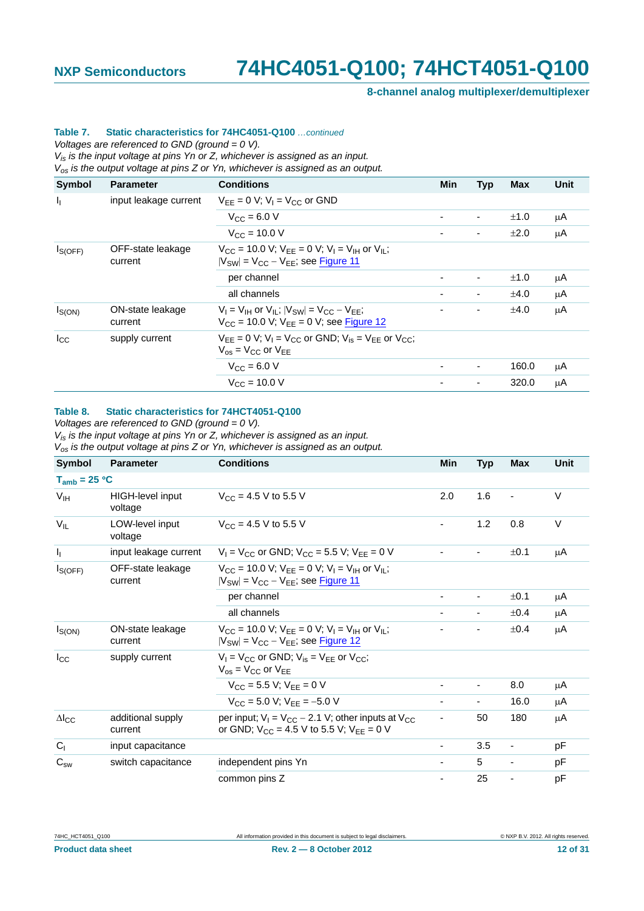**8-channel analog multiplexer/demultiplexer**

#### **Table 7. Static characteristics for 74HC4051-Q100** *…continued*

*Voltages are referenced to GND (ground = 0 V).*

*Vis is the input voltage at pins Yn or Z, whichever is assigned as an input.*

*Vos is the output voltage at pins Z or Yn, whichever is assigned as an output.*

| <b>Symbol</b>             | <b>Parameter</b>             | <b>Conditions</b>                                                                                                            | <b>Min</b> | <b>Typ</b>               | <b>Max</b> | <b>Unit</b> |
|---------------------------|------------------------------|------------------------------------------------------------------------------------------------------------------------------|------------|--------------------------|------------|-------------|
| $\mathbf{I}_{\mathbf{I}}$ | input leakage current        | $V_{EE} = 0$ V; $V_1 = V_{CC}$ or GND                                                                                        |            |                          |            |             |
|                           |                              | $V_{\text{CC}} = 6.0 V$                                                                                                      | ۰          | $\overline{\phantom{0}}$ | ±1.0       | μA          |
|                           |                              | $V_{\rm CC}$ = 10.0 V                                                                                                        |            | ٠                        | $\pm 2.0$  | μA          |
| $I_{S(OFF)}$              | OFF-state leakage<br>current | $V_{CC}$ = 10.0 V; $V_{FF}$ = 0 V; $V_{I}$ = $V_{IH}$ or $V_{II}$ ;<br>$ V_{SW}  = V_{CC} - V_{FF}$ ; see Figure 11          |            |                          |            |             |
|                           |                              | per channel                                                                                                                  |            | $\blacksquare$           | ±1.0       | μA          |
|                           |                              | all channels                                                                                                                 |            | ٠                        | ±4.0       | μA          |
| $I_{S(ON)}$               | ON-state leakage<br>current  | $V_1 = V_{1H}$ or $V_{1L}$ ; $ V_{SW}  = V_{CC} - V_{EE}$ ;<br>$V_{CC}$ = 10.0 V; $V_{EE}$ = 0 V; see Figure 12              |            | ٠                        | ±4.0       | μA          |
| $I_{\rm CC}$              | supply current               | $V_{FF} = 0$ V; $V_1 = V_{CC}$ or GND; $V_{IS} = V_{FF}$ or $V_{CC}$ ;<br>$V_{\text{os}} = V_{\text{CC}}$ or $V_{\text{FF}}$ |            |                          |            |             |
|                           |                              | $V_{\text{CC}} = 6.0 V$                                                                                                      |            | $\overline{\phantom{0}}$ | 160.0      | μA          |
|                           |                              | $V_{\rm CC}$ = 10.0 V                                                                                                        |            | ٠                        | 320.0      | μA          |

#### **Table 8. Static characteristics for 74HCT4051-Q100**

*Voltages are referenced to GND (ground = 0 V).*

*Vis is the input voltage at pins Yn or Z, whichever is assigned as an input.*

*Vos is the output voltage at pins Z or Yn, whichever is assigned as an output.*

| <b>Symbol</b>          | <b>Parameter</b>             | <b>Conditions</b>                                                                                                                 | Min | <b>Typ</b>               | <b>Max</b>               | Unit   |
|------------------------|------------------------------|-----------------------------------------------------------------------------------------------------------------------------------|-----|--------------------------|--------------------------|--------|
| $T_{amb} = 25 °C$      |                              |                                                                                                                                   |     |                          |                          |        |
| V <sub>IH</sub>        | HIGH-level input<br>voltage  | $V_{CC}$ = 4.5 V to 5.5 V                                                                                                         | 2.0 | 1.6                      | $\overline{\phantom{a}}$ | $\vee$ |
| $V_{IL}$               | LOW-level input<br>voltage   | $V_{CC}$ = 4.5 V to 5.5 V                                                                                                         |     | 1.2                      | 0.8                      | V      |
| I <sub>1</sub>         | input leakage current        | $V_1 = V_{CC}$ or GND; $V_{CC} = 5.5$ V; $V_{FF} = 0$ V                                                                           |     |                          | ±0.1                     | μA     |
| $I_{S(OFF)}$           | OFF-state leakage<br>current | $V_{CC}$ = 10.0 V; $V_{FF}$ = 0 V; $V_{I}$ = V <sub>IH</sub> or V <sub>II</sub> ;<br>$ V_{SW}  = V_{CC} - V_{EE}$ ; see Figure 11 |     |                          |                          |        |
|                        |                              | per channel                                                                                                                       |     | $\overline{\phantom{0}}$ | ±0.1                     | μA     |
|                        |                              | all channels                                                                                                                      |     |                          | ±0.4                     | μA     |
| $I_{S(ON)}$            | ON-state leakage<br>current  | $V_{CC}$ = 10.0 V; $V_{FF}$ = 0 V; $V_{I}$ = $V_{IH}$ or $V_{II}$ ;<br>$ V_{SW}  = V_{CC} - V_{FF}$ ; see Figure 12               |     |                          | $\pm 0.4$                | μA     |
| $I_{\rm CC}$           | supply current               | $V_1 = V_{CC}$ or GND; $V_{is} = V_{FF}$ or $V_{CC}$ ;<br>$V_{OS}$ = $V_{CC}$ or $V_{FF}$                                         |     |                          |                          |        |
|                        |                              | $V_{CC}$ = 5.5 V; $V_{FF}$ = 0 V                                                                                                  |     | $\overline{\phantom{a}}$ | 8.0                      | μA     |
|                        |                              | $V_{CC}$ = 5.0 V; $V_{FF}$ = -5.0 V                                                                                               |     | -                        | 16.0                     | μA     |
| $\Delta$ <sub>cc</sub> | additional supply<br>current | per input; $V_1 = V_{CC} - 2.1$ V; other inputs at $V_{CC}$<br>or GND; $V_{CC}$ = 4.5 V to 5.5 V; $V_{EE}$ = 0 V                  |     | 50                       | 180                      | μA     |
| C <sub>1</sub>         | input capacitance            |                                                                                                                                   |     | 3.5                      |                          | рF     |
| $C_{\rm sw}$           | switch capacitance           | independent pins Yn                                                                                                               |     | 5                        |                          | рF     |
|                        |                              | common pins Z                                                                                                                     |     | 25                       |                          | рF     |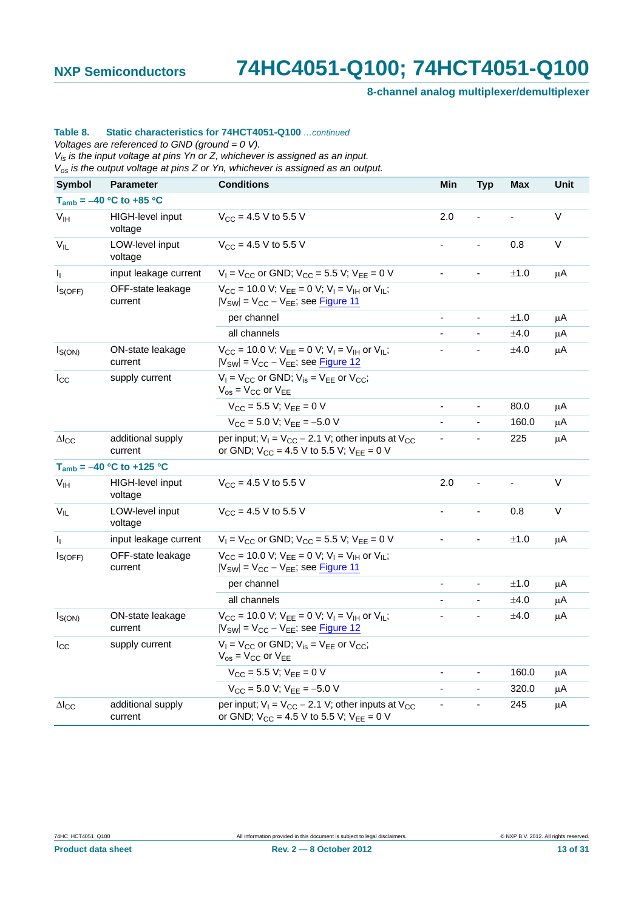**8-channel analog multiplexer/demultiplexer**

#### **Table 8. Static characteristics for 74HCT4051-Q100** *…continued*

*Voltages are referenced to GND (ground = 0 V).*

*Vis is the input voltage at pins Yn or Z, whichever is assigned as an input.*

*Vos is the output voltage at pins Z or Yn, whichever is assigned as an output.*

| <b>Symbol</b>          | <b>Parameter</b>              | <b>Conditions</b>                                                                                                                 | Min                      | <b>Typ</b>                   | Max   | Unit    |
|------------------------|-------------------------------|-----------------------------------------------------------------------------------------------------------------------------------|--------------------------|------------------------------|-------|---------|
|                        | $T_{amb} = -40 °C$ to +85 °C  |                                                                                                                                   |                          |                              |       |         |
| V <sub>IH</sub>        | HIGH-level input<br>voltage   | $V_{CC}$ = 4.5 V to 5.5 V                                                                                                         | 2.0                      |                              |       | V       |
| $V_{IL}$               | LOW-level input<br>voltage    | $V_{CC}$ = 4.5 V to 5.5 V                                                                                                         |                          |                              | 0.8   | V       |
| $I_{\rm L}$            | input leakage current         | $V_1 = V_{CC}$ or GND; $V_{CC} = 5.5$ V; $V_{EE} = 0$ V                                                                           |                          | $\overline{a}$               | ±1.0  | μA      |
| $I_{S(OFF)}$           | OFF-state leakage<br>current  | $V_{CC}$ = 10.0 V; $V_{FF}$ = 0 V; $V_{I}$ = $V_{IH}$ or $V_{II}$ ;<br>$ V_{SW}  = V_{CC} - V_{EE}$ ; see Figure 11               |                          |                              |       |         |
|                        |                               | per channel                                                                                                                       |                          |                              | ±1.0  | μA      |
|                        |                               | all channels                                                                                                                      |                          |                              | ±4.0  | μA      |
| $I_{S(ON)}$            | ON-state leakage<br>current   | $V_{CC}$ = 10.0 V; $V_{EE}$ = 0 V; $V_{I}$ = V <sub>IH</sub> or V <sub>IL</sub> ;<br>$ V_{SW}  = V_{CC} - V_{EE}$ ; see Figure 12 |                          |                              | ±4.0  | $\mu$ A |
| $I_{\rm CC}$           | supply current                | $V_1 = V_{CC}$ or GND; $V_{is} = V_{EE}$ or $V_{CC}$ ;<br>$V_{OS}$ = $V_{CC}$ or $V_{EE}$                                         |                          |                              |       |         |
|                        |                               | $V_{CC}$ = 5.5 V; $V_{EE}$ = 0 V                                                                                                  |                          |                              | 80.0  | μA      |
|                        |                               | $V_{CC}$ = 5.0 V; $V_{EE}$ = -5.0 V                                                                                               |                          |                              | 160.0 | μA      |
| $\Delta$ <sub>cc</sub> | additional supply<br>current  | per input; $V_1 = V_{CC} - 2.1$ V; other inputs at $V_{CC}$<br>or GND; $V_{CC} = 4.5 V$ to 5.5 V; $V_{EE} = 0 V$                  | $\overline{\phantom{a}}$ |                              | 225   | μA      |
|                        | $T_{amb} = -40 °C$ to +125 °C |                                                                                                                                   |                          |                              |       |         |
| V <sub>IH</sub>        | HIGH-level input<br>voltage   | $V_{CC}$ = 4.5 V to 5.5 V                                                                                                         | 2.0                      |                              |       | $\vee$  |
| $V_{IL}$               | LOW-level input<br>voltage    | $V_{CC}$ = 4.5 V to 5.5 V                                                                                                         |                          |                              | 0.8   | V       |
| Ч.                     | input leakage current         | $V_1 = V_{CC}$ or GND; $V_{CC} = 5.5$ V; $V_{EE} = 0$ V                                                                           |                          |                              | ±1.0  | $\mu$ A |
| $I_{S(OFF)}$           | OFF-state leakage<br>current  | $V_{CC}$ = 10.0 V; $V_{EE}$ = 0 V; $V_{I}$ = V <sub>IH</sub> or V <sub>IL</sub> ;<br>$ V_{SW}  = V_{CC} - V_{EE}$ ; see Figure 11 |                          |                              |       |         |
|                        |                               | per channel                                                                                                                       | $\blacksquare$           | $\qquad \qquad \blacksquare$ | ±1.0  | μA      |
|                        |                               | all channels                                                                                                                      |                          | ÷,                           | ±4.0  | $\mu$ A |
| $I_{S(ON)}$            | ON-state leakage<br>current   | $V_{CC}$ = 10.0 V; $V_{EE}$ = 0 V; $V_{I}$ = V <sub>IH</sub> or V <sub>IL</sub> ;<br>$ V_{SW}  = V_{CC} - V_{EE}$ ; see Figure 12 |                          |                              | ±4.0  | μA      |
| $I_{\rm CC}$           | supply current                | $V_1 = V_{CC}$ or GND; $V_{is} = V_{EE}$ or $V_{CC}$ ;<br>$V_{OS}$ = $V_{CC}$ or $V_{EE}$                                         |                          |                              |       |         |
|                        |                               | $V_{CC}$ = 5.5 V; $V_{EE}$ = 0 V                                                                                                  |                          | $\overline{\phantom{0}}$     | 160.0 | $\mu$ A |
|                        |                               | $V_{CC}$ = 5.0 V; $V_{FF}$ = -5.0 V                                                                                               |                          |                              | 320.0 | $\mu$ A |
| $\Delta I_{\text{CC}}$ | additional supply<br>current  | per input; $V_1 = V_{CC} - 2.1$ V; other inputs at $V_{CC}$<br>or GND; $V_{CC}$ = 4.5 V to 5.5 V; $V_{EE}$ = 0 V                  |                          |                              | 245   | μA      |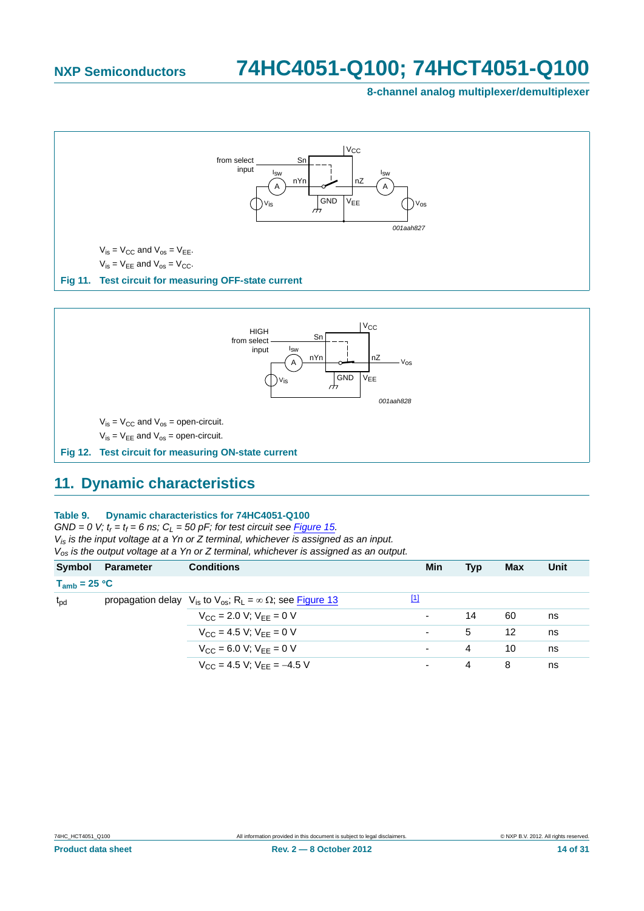**8-channel analog multiplexer/demultiplexer**



<span id="page-13-0"></span>

### <span id="page-13-2"></span><span id="page-13-1"></span>**11. Dynamic characteristics**

#### **Table 9. Dynamic characteristics for 74HC4051-Q100**

 $GND = 0$  V;  $t_r = t_f = 6$  ns;  $C_l = 50$  pF; for test circuit see [Figure 15.](#page-19-0) *Vis is the input voltage at a Yn or Z terminal, whichever is assigned as an input. Vos is the output voltage at a Yn or Z terminal, whichever is assigned as an output.*

|                   | Symbol Parameter | <b>Conditions</b>                                                                         | Min         | Typ | <b>Max</b> | Unit |
|-------------------|------------------|-------------------------------------------------------------------------------------------|-------------|-----|------------|------|
| $T_{amb}$ = 25 °C |                  |                                                                                           |             |     |            |      |
| $t_{\rm pd}$      |                  | propagation delay $V_{is}$ to $V_{os}$ ; R <sub>1</sub> = $\infty \Omega$ ; see Figure 13 | $\boxed{1}$ |     |            |      |
|                   |                  | $V_{CC}$ = 2.0 V; $V_{FF}$ = 0 V                                                          | ۰           | 14  | 60         | ns   |
|                   |                  | $V_{CC} = 4.5 V$ ; $V_{EF} = 0 V$                                                         |             | 5   | 12         | ns   |
|                   |                  | $V_{CC} = 6.0 V$ ; $V_{FF} = 0 V$                                                         |             | 4   | 10         | ns   |
|                   |                  | $V_{CC}$ = 4.5 V; $V_{FF}$ = -4.5 V                                                       | ۰           | 4   | 8          | ns   |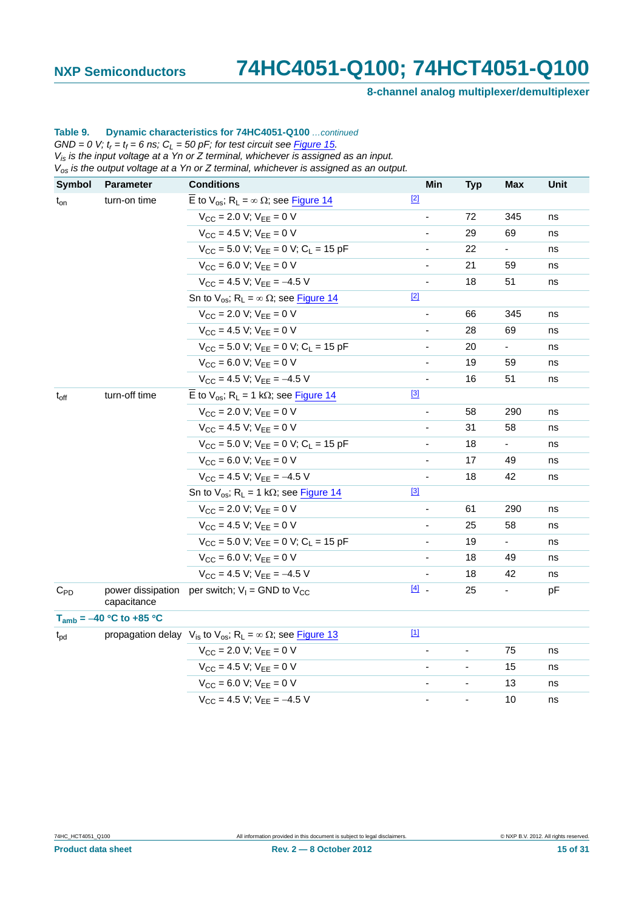**8-channel analog multiplexer/demultiplexer**

#### **Table 9. Dynamic characteristics for 74HC4051-Q100** *…continued*  $GND = 0$  V;  $t_r = t_f = 6$  ns;  $C_L = 50$  pF; for test circuit see **Figure 15.**

*Vis is the input voltage at a Yn or Z terminal, whichever is assigned as an input.*

*Vos is the output voltage at a Yn or Z terminal, whichever is assigned as an output.*

| <b>Symbol</b>    | <b>Parameter</b>                 | <b>Conditions</b>                                                                         | Min                      | <b>Typ</b> | Max            | Unit |
|------------------|----------------------------------|-------------------------------------------------------------------------------------------|--------------------------|------------|----------------|------|
| $t_{on}$         | turn-on time                     | $\overline{E}$ to $V_{os}$ ; R <sub>L</sub> = $\infty$ Ω; see <b>Figure 14</b>            | $[2]$                    |            |                |      |
|                  |                                  | $V_{CC}$ = 2.0 V; $V_{EE}$ = 0 V                                                          |                          | 72         | 345            | ns   |
|                  |                                  | $V_{CC}$ = 4.5 V; $V_{EE}$ = 0 V                                                          |                          | 29         | 69             | ns   |
|                  |                                  | $V_{CC}$ = 5.0 V; $V_{EE}$ = 0 V; $C_L$ = 15 pF                                           |                          | 22         | ÷.             | ns   |
|                  |                                  | $V_{CC}$ = 6.0 V; $V_{EE}$ = 0 V                                                          | $\overline{\phantom{0}}$ | 21         | 59             | ns   |
|                  |                                  | $V_{CC}$ = 4.5 V; $V_{FF}$ = -4.5 V                                                       |                          | 18         | 51             | ns   |
|                  |                                  | Sn to $V_{os}$ ; R <sub>L</sub> = $\infty$ $\Omega$ ; see Figure 14                       | $[2]$                    |            |                |      |
|                  |                                  | $V_{CC}$ = 2.0 V; $V_{EE}$ = 0 V                                                          |                          | 66         | 345            | ns   |
|                  |                                  | $V_{CC} = 4.5 V$ ; $V_{FF} = 0 V$                                                         |                          | 28         | 69             | ns   |
|                  |                                  | $V_{CC}$ = 5.0 V; $V_{EE}$ = 0 V; $C_L$ = 15 pF                                           |                          | 20         | ä,             | ns   |
|                  |                                  | $V_{CC}$ = 6.0 V; $V_{EE}$ = 0 V                                                          |                          | 19         | 59             | ns   |
|                  |                                  | $V_{CC}$ = 4.5 V; $V_{EE}$ = -4.5 V                                                       |                          | 16         | 51             | ns   |
| $t_{\text{off}}$ | turn-off time                    | $\overline{E}$ to $V_{OS}$ ; R <sub>L</sub> = 1 k $\Omega$ ; see Figure 14                | [3]                      |            |                |      |
|                  |                                  | $V_{\text{CC}} = 2.0 V$ ; $V_{\text{EE}} = 0 V$                                           |                          | 58         | 290            | ns   |
|                  |                                  | $V_{CC} = 4.5 V$ ; $V_{EE} = 0 V$                                                         |                          | 31         | 58             | ns   |
|                  |                                  | $V_{CC}$ = 5.0 V; $V_{EE}$ = 0 V; $C_L$ = 15 pF                                           |                          | 18         | $\blacksquare$ | ns   |
|                  |                                  | $V_{CC} = 6.0 V; V_{EE} = 0 V$                                                            |                          | 17         | 49             | ns   |
|                  |                                  | $V_{CC}$ = 4.5 V; $V_{FF}$ = -4.5 V                                                       |                          | 18         | 42             | ns   |
|                  |                                  | Sn to $V_{OS}$ ; R <sub>L</sub> = 1 k $\Omega$ ; see Figure 14                            | [3]                      |            |                |      |
|                  |                                  | $V_{CC}$ = 2.0 V; $V_{FF}$ = 0 V                                                          |                          | 61         | 290            | ns   |
|                  |                                  | $V_{CC}$ = 4.5 V; $V_{EE}$ = 0 V                                                          |                          | 25         | 58             | ns   |
|                  |                                  | $V_{CC}$ = 5.0 V; $V_{EE}$ = 0 V; $C_L$ = 15 pF                                           |                          | 19         | $\blacksquare$ | ns   |
|                  |                                  | $V_{CC} = 6.0 V; V_{EE} = 0 V$                                                            |                          | 18         | 49             | ns   |
|                  |                                  | $V_{CC}$ = 4.5 V; $V_{FF}$ = -4.5 V                                                       |                          | 18         | 42             | ns   |
| $C_{PD}$         | power dissipation<br>capacitance | per switch; $V_1$ = GND to $V_{CC}$                                                       | $[4]$ .                  | 25         | ٠              | pF   |
|                  | $T_{amb} = -40 °C$ to +85 °C     |                                                                                           |                          |            |                |      |
| $t_{\rm pd}$     |                                  | propagation delay $V_{is}$ to $V_{os}$ ; R <sub>L</sub> = $\infty \Omega$ ; see Figure 13 | $\boxed{11}$             |            |                |      |
|                  |                                  | $V_{CC}$ = 2.0 V; $V_{FF}$ = 0 V                                                          |                          |            | 75             | ns   |
|                  |                                  | $V_{CC}$ = 4.5 V; $V_{EE}$ = 0 V                                                          |                          |            | 15             | ns   |
|                  |                                  | $V_{CC} = 6.0 V; V_{EE} = 0 V$                                                            |                          |            | 13             | ns   |
|                  |                                  | $V_{CC}$ = 4.5 V; $V_{EE}$ = -4.5 V                                                       |                          |            | 10             | ns   |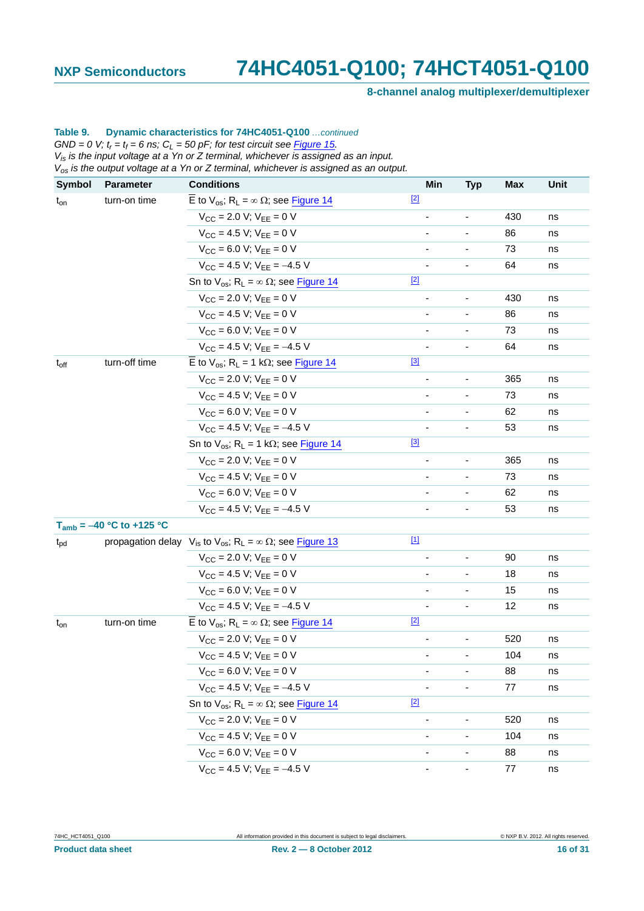**8-channel analog multiplexer/demultiplexer**

#### **Table 9. Dynamic characteristics for 74HC4051-Q100** *…continued*  $GND = 0$  V;  $t_r = t_f = 6$  ns;  $C_L = 50$  pF; for test circuit see **Figure 15.**

*Vis is the input voltage at a Yn or Z terminal, whichever is assigned as an input. Vos is the output voltage at a Yn or Z terminal, whichever is assigned as an output.*

| <b>Symbol</b> | Parameter                     | <b>Conditions</b>                                                                                  |             | Min                      | <b>Typ</b>                   | <b>Max</b> | Unit |
|---------------|-------------------------------|----------------------------------------------------------------------------------------------------|-------------|--------------------------|------------------------------|------------|------|
| $t_{on}$      | turn-on time                  | $\overline{E}$ to $V_{os}$ ; R <sub>L</sub> = $\infty$ Ω; see <b>Figure 14</b>                     | $[2]$       |                          |                              |            |      |
|               |                               | $V_{CC}$ = 2.0 V; $V_{EE}$ = 0 V                                                                   |             |                          |                              | 430        | ns   |
|               |                               | $V_{CC}$ = 4.5 V; $V_{EE}$ = 0 V                                                                   |             |                          |                              | 86         | ns   |
|               |                               | $V_{CC} = 6.0 V$ ; $V_{FF} = 0 V$                                                                  |             |                          |                              | 73         | ns   |
|               |                               | $V_{CC}$ = 4.5 V; $V_{EE}$ = -4.5 V                                                                |             |                          |                              | 64         | ns   |
|               |                               | Sn to $V_{os}$ ; R <sub>L</sub> = $\infty$ $\Omega$ ; see Figure 14                                | $[2]$       |                          |                              |            |      |
|               |                               | $V_{CC}$ = 2.0 V; $V_{EE}$ = 0 V                                                                   |             |                          | $\qquad \qquad \blacksquare$ | 430        | ns   |
|               |                               | $V_{CC}$ = 4.5 V; $V_{EE}$ = 0 V                                                                   |             |                          |                              | 86         | ns   |
|               |                               | $V_{CC} = 6.0 V; V_{EE} = 0 V$                                                                     |             |                          |                              | 73         | ns   |
|               |                               | $V_{CC}$ = 4.5 V; $V_{EE}$ = -4.5 V                                                                |             |                          |                              | 64         | ns   |
| $t_{off}$     | turn-off time                 | E to $V_{OS}$ ; R <sub>L</sub> = 1 k $\Omega$ ; see Figure 14                                      | $[3]$       |                          |                              |            |      |
|               |                               | $V_{CC}$ = 2.0 V; $V_{EE}$ = 0 V                                                                   |             |                          |                              | 365        | ns   |
|               |                               | $V_{CC}$ = 4.5 V; $V_{EE}$ = 0 V                                                                   |             |                          |                              | 73         | ns   |
|               |                               | $V_{CC} = 6.0 V$ ; $V_{FF} = 0 V$                                                                  |             |                          |                              | 62         | ns   |
|               |                               | $V_{CC}$ = 4.5 V; $V_{EE}$ = -4.5 V                                                                |             | $\overline{\phantom{0}}$ |                              | 53         | ns   |
|               |                               | Sn to $V_{OS}$ ; R <sub>L</sub> = 1 k $\Omega$ ; see Figure 14                                     | [3]         |                          |                              |            |      |
|               |                               | $V_{CC}$ = 2.0 V; $V_{EE}$ = 0 V                                                                   |             |                          |                              | 365        | ns   |
|               |                               | $V_{CC}$ = 4.5 V; $V_{EE}$ = 0 V                                                                   |             |                          |                              | 73         | ns   |
|               |                               | $V_{CC} = 6.0 V$ ; $V_{FF} = 0 V$                                                                  |             | ÷,                       |                              | 62         | ns   |
|               |                               | $V_{CC}$ = 4.5 V; $V_{EE}$ = -4.5 V                                                                |             |                          |                              | 53         | ns   |
|               | $T_{amb} = -40 °C$ to +125 °C |                                                                                                    |             |                          |                              |            |      |
| $t_{\rm pd}$  |                               | propagation delay $V_{is}$ to $V_{os}$ ; R <sub>L</sub> = $\infty$ $\Omega$ ; see <b>Figure 13</b> | $\boxed{1}$ |                          |                              |            |      |
|               |                               | $V_{CC}$ = 2.0 V; $V_{EE}$ = 0 V                                                                   |             |                          |                              | 90         | ns   |
|               |                               | $V_{CC}$ = 4.5 V; $V_{EE}$ = 0 V                                                                   |             |                          |                              | 18         | ns   |
|               |                               | $V_{CC} = 6.0 V; V_{EE} = 0 V$                                                                     |             |                          |                              | 15         | ns   |
|               |                               | $V_{CC}$ = 4.5 V; $V_{FF}$ = -4.5 V                                                                |             |                          |                              | 12         | ns   |
| $t_{on}$      | turn-on time                  | $\overline{E}$ to $V_{OS}$ ; R <sub>L</sub> = $\infty$ $\Omega$ ; see Figure 14                    | $[2]$       |                          |                              |            |      |
|               |                               | $V_{CC}$ = 2.0 V; $V_{FF}$ = 0 V                                                                   |             |                          |                              | 520        | ns   |
|               |                               | $V_{CC}$ = 4.5 V; $V_{EE}$ = 0 V                                                                   |             |                          | $\overline{\phantom{0}}$     | 104        | ns   |
|               |                               | $V_{CC}$ = 6.0 V; $V_{EE}$ = 0 V                                                                   |             |                          |                              | 88         | ns   |
|               |                               | $V_{CC}$ = 4.5 V; $V_{EE}$ = -4.5 V                                                                |             |                          |                              | 77         | ns   |
|               |                               | Sn to $V_{os}$ ; R <sub>L</sub> = $\infty$ Ω; see Figure 14                                        | $[2]$       |                          |                              |            |      |
|               |                               | $V_{CC}$ = 2.0 V; $V_{EE}$ = 0 V                                                                   |             |                          |                              | 520        | ns   |
|               |                               | $V_{CC}$ = 4.5 V; $V_{EE}$ = 0 V                                                                   |             |                          |                              | 104        | ns   |
|               |                               | $V_{CC}$ = 6.0 V; $V_{EE}$ = 0 V                                                                   |             |                          |                              | 88         | ns   |
|               |                               | $V_{CC}$ = 4.5 V; $V_{EE}$ = -4.5 V                                                                |             |                          |                              | 77         | ns   |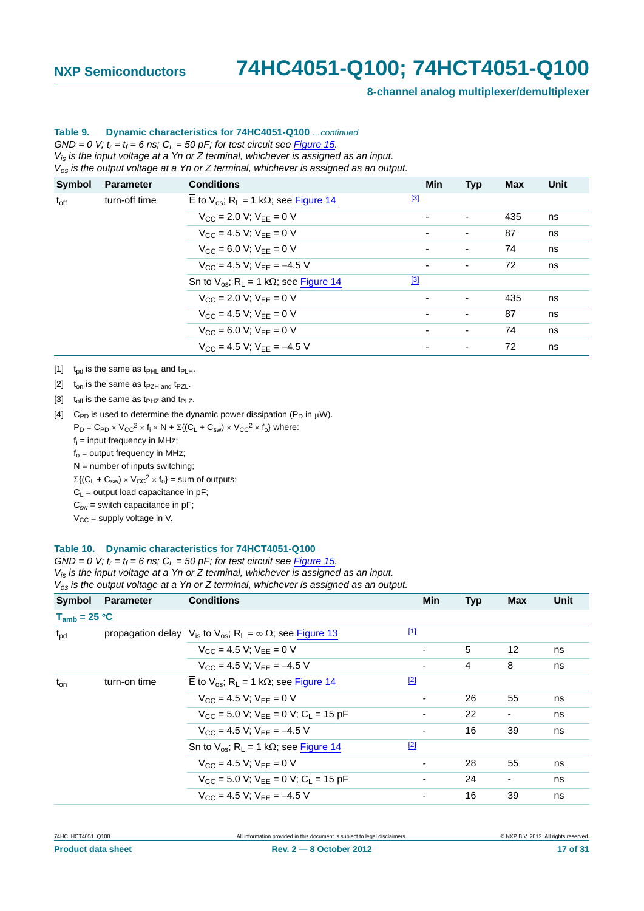**8-channel analog multiplexer/demultiplexer**

### **Table 9. Dynamic characteristics for 74HC4051-Q100** *…continued*

 $GND = 0$  V;  $t_r = t_f = 6$  ns;  $C_L = 50$  pF; for test circuit see **Figure 15.** *Vis is the input voltage at a Yn or Z terminal, whichever is assigned as an input. Vos is the output voltage at a Yn or Z terminal, whichever is assigned as an output.*

| Symbol                         | <b>Parameter</b>                    | <b>Conditions</b>                                              | Min                      | <b>Typ</b>               | <b>Max</b> | Unit |
|--------------------------------|-------------------------------------|----------------------------------------------------------------|--------------------------|--------------------------|------------|------|
| turn-off time<br>$t_{\rm off}$ |                                     | E to $V_{\text{os}}$ ; R <sub>L</sub> = 1 kΩ; see Figure 14    | $^{[3]}$                 |                          |            |      |
|                                |                                     | $V_{CC}$ = 2.0 V; $V_{FF}$ = 0 V                               | $\overline{\phantom{0}}$ | $\overline{\phantom{a}}$ | 435        | ns   |
|                                | $V_{CC}$ = 4.5 V; $V_{EE}$ = 0 V    |                                                                | $\overline{\phantom{a}}$ | 87                       | ns         |      |
|                                | $V_{CC} = 6.0 V$ ; $V_{FF} = 0 V$   |                                                                | ۰                        | 74                       | ns         |      |
|                                | $V_{CC}$ = 4.5 V; $V_{EE}$ = -4.5 V | ۰                                                              | ٠                        | 72                       | ns         |      |
|                                |                                     | Sn to $V_{OS}$ ; R <sub>L</sub> = 1 k $\Omega$ ; see Figure 14 | $^{[3]}$                 |                          |            |      |
|                                |                                     | $V_{CC}$ = 2.0 V; $V_{FF}$ = 0 V                               |                          | $\overline{\phantom{a}}$ | 435        | ns   |
|                                |                                     | $V_{CC} = 4.5 V$ ; $V_{EE} = 0 V$                              |                          | $\overline{\phantom{a}}$ | 87         | ns   |
|                                |                                     | $V_{CC} = 6.0 V$ ; $V_{FF} = 0 V$                              | ٠                        | $\overline{\phantom{a}}$ | 74         | ns   |
|                                |                                     | $V_{CC}$ = 4.5 V; $V_{FF}$ = -4.5 V                            | ۰                        | $\overline{\phantom{a}}$ | 72         | ns   |
|                                |                                     |                                                                |                          |                          |            |      |

<span id="page-16-0"></span>[1]  $t_{pd}$  is the same as  $t_{PHL}$  and  $t_{PLH}$ .

<span id="page-16-1"></span>[2]  $t_{on}$  is the same as t<sub>PZH and</sub> t<sub>PZL</sub>.

<span id="page-16-2"></span>[3]  $t_{off}$  is the same as  $t_{PHZ}$  and  $t_{PLZ}$ .

<span id="page-16-3"></span>[4] C<sub>PD</sub> is used to determine the dynamic power dissipation (P<sub>D</sub> in  $\mu$ W).  $P_D = C_{PD} \times V_{CC}^2 \times f_i \times N + \Sigma \{(C_L + C_{sw}) \times V_{CC}^2 \times f_0\}$  where: f<sub>i</sub> = input frequency in MHz;  $f_0$  = output frequency in MHz;  $N =$  number of inputs switching;  $\Sigma\{(\mathsf{C}_\mathsf{L} + \mathsf{C}_{\mathsf{sw}}) \times \mathsf{V}_{\mathsf{CC}}^2 \times \mathsf{f}_{\mathsf{o}}\} = \text{sum of outputs};$  $C_1$  = output load capacitance in pF;  $C_{sw}$  = switch capacitance in pF;  $V_{CC}$  = supply voltage in V.

#### **Table 10. Dynamic characteristics for 74HCT4051-Q100**

 $GND = 0$  V;  $t_r = t_f = 6$  ns;  $C_L = 50$  pF; for test circuit see [Figure 15.](#page-19-0)

*Vis is the input voltage at a Yn or Z terminal, whichever is assigned as an input.*

*Vos is the output voltage at a Yn or Z terminal, whichever is assigned as an output.*

| <b>Symbol</b>     | <b>Parameter</b> | <b>Conditions</b>                                                                           | <b>Min</b>               | <b>Typ</b> | <b>Max</b>               | Unit |
|-------------------|------------------|---------------------------------------------------------------------------------------------|--------------------------|------------|--------------------------|------|
| $T_{amb}$ = 25 °C |                  |                                                                                             |                          |            |                          |      |
| $t_{\rm pd}$      |                  | propagation delay $V_{is}$ to $V_{os}$ ; R <sub>L</sub> = $\infty$ $\Omega$ ; see Figure 13 | $\boxed{1}$              |            |                          |      |
|                   |                  | $V_{CC} = 4.5 V$ ; $V_{FF} = 0 V$                                                           |                          | 5          | 12                       | ns   |
|                   |                  | $V_{CC}$ = 4.5 V; $V_{FF}$ = -4.5 V                                                         |                          | 4          | 8                        | ns   |
| $t_{on}$          | turn-on time     | $\overline{E}$ to $V_{\text{os}}$ ; R <sub>1</sub> = 1 k $\Omega$ ; see Figure 14           | $[2]$                    |            |                          |      |
|                   |                  | $V_{CC} = 4.5 V: V_{EF} = 0 V$                                                              |                          | 26         | 55                       | ns   |
|                   |                  | $V_{CC}$ = 5.0 V; $V_{FF}$ = 0 V; C <sub>1</sub> = 15 pF                                    |                          | 22         | $\overline{\phantom{a}}$ | ns   |
|                   |                  | $V_{CC}$ = 4.5 V; $V_{FF}$ = -4.5 V                                                         |                          | 16         | 39                       | ns   |
|                   |                  | Sn to $V_{OS}$ ; R <sub>L</sub> = 1 k $\Omega$ ; see Figure 14                              | $[2]$                    |            |                          |      |
|                   |                  | $V_{CC} = 4.5 V$ ; $V_{FF} = 0 V$                                                           |                          | 28         | 55                       | ns   |
|                   |                  | $V_{CC}$ = 5.0 V; $V_{FF}$ = 0 V; C <sub>1</sub> = 15 pF                                    |                          | 24         | $\overline{\phantom{a}}$ | ns   |
|                   |                  | $V_{CC}$ = 4.5 V; $V_{FF}$ = -4.5 V                                                         | $\overline{\phantom{0}}$ | 16         | 39                       | ns   |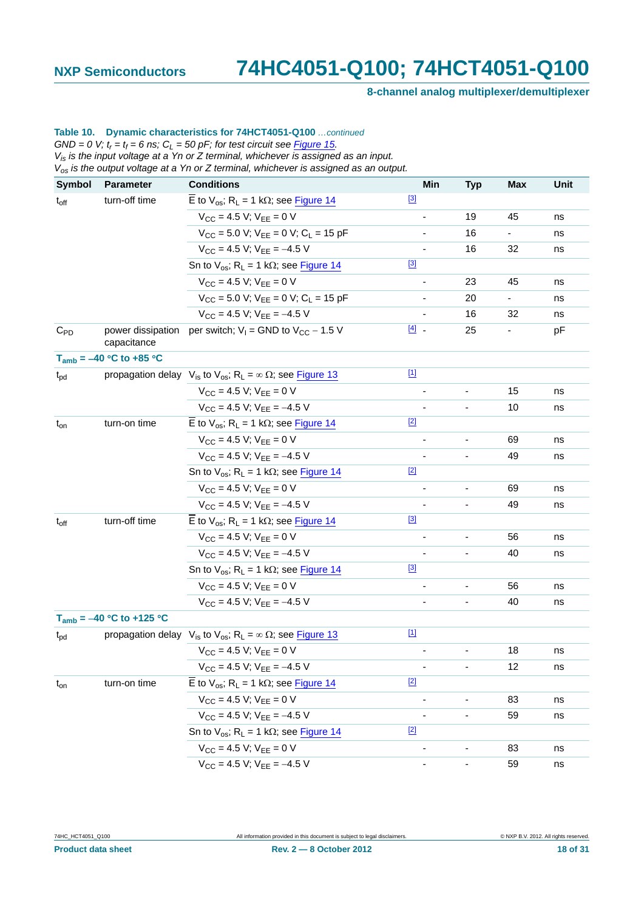**8-channel analog multiplexer/demultiplexer**

#### **Table 10. Dynamic characteristics for 74HCT4051-Q100** *…continued*  $GND = 0$  V;  $t_r = t_f = 6$  ns;  $C_L = 50$  pF; for test circuit see **Figure 15.**

*Vis is the input voltage at a Yn or Z terminal, whichever is assigned as an input.*

*Vos is the output voltage at a Yn or Z terminal, whichever is assigned as an output.* **Symbol Parameter Conditions Min Typ Max Unit**

| $t_{off}$    | turn-off time                 | E to $V_{OS}$ ; R <sub>L</sub> = 1 k $\Omega$ ; see Figure 14                               | $[3]$                    |                          |    |    |
|--------------|-------------------------------|---------------------------------------------------------------------------------------------|--------------------------|--------------------------|----|----|
|              |                               | $V_{CC}$ = 4.5 V; $V_{EE}$ = 0 V                                                            |                          | 19                       | 45 | ns |
|              |                               | $V_{CC}$ = 5.0 V; $V_{EE}$ = 0 V; $C_L$ = 15 pF                                             |                          | 16                       | ÷, | ns |
|              |                               | $V_{CC}$ = 4.5 V; $V_{EE}$ = -4.5 V                                                         |                          | 16                       | 32 | ns |
|              |                               | Sn to $V_{OS}$ ; R <sub>L</sub> = 1 k $\Omega$ ; see Figure 14                              | $[3]$                    |                          |    |    |
|              |                               | $V_{CC} = 4.5 V$ ; $V_{FF} = 0 V$                                                           |                          | 23                       | 45 | ns |
|              |                               | $V_{CC}$ = 5.0 V; $V_{FF}$ = 0 V; $C_1$ = 15 pF                                             |                          | 20                       | ÷, | ns |
|              |                               | $V_{CC}$ = 4.5 V; $V_{EE}$ = -4.5 V                                                         |                          | 16                       | 32 | ns |
| $C_{PD}$     | capacitance                   | power dissipation per switch; $V_1 =$ GND to $V_{CC} - 1.5$ V                               | $\boxed{4}$ -            | 25                       |    | pF |
|              | $T_{amb} = -40 °C$ to +85 °C  |                                                                                             |                          |                          |    |    |
| $t_{pd}$     |                               | propagation delay $V_{is}$ to $V_{os}$ ; R <sub>L</sub> = $\infty$ $\Omega$ ; see Figure 13 | $[1]$                    |                          |    |    |
|              |                               | $V_{CC}$ = 4.5 V; $V_{FF}$ = 0 V                                                            |                          |                          | 15 | ns |
|              |                               | $V_{CC}$ = 4.5 V; $V_{FF}$ = -4.5 V                                                         |                          |                          | 10 | ns |
| $t_{on}$     | turn-on time                  | $\overline{E}$ to V <sub>os</sub> ; R <sub>L</sub> = 1 kΩ; see Figure 14                    | $[2]$                    |                          |    |    |
|              |                               | $V_{CC} = 4.5 V$ ; $V_{FF} = 0 V$                                                           |                          | Ĭ.                       | 69 | ns |
|              |                               | $V_{CC}$ = 4.5 V; $V_{FF}$ = -4.5 V                                                         |                          |                          | 49 | ns |
|              |                               | Sn to $V_{OS}$ ; R <sub>L</sub> = 1 k $\Omega$ ; see Figure 14                              | $[2]$                    |                          |    |    |
|              |                               | $V_{CC}$ = 4.5 V; $V_{FF}$ = 0 V                                                            |                          |                          | 69 | ns |
|              |                               | $V_{CC}$ = 4.5 V; $V_{FF}$ = -4.5 V                                                         |                          |                          | 49 | ns |
| $t_{off}$    | turn-off time                 | $\overline{E}$ to $V_{\text{os}}$ ; R <sub>L</sub> = 1 kΩ; see Figure 14                    | $[3]$                    |                          |    |    |
|              |                               | $V_{CC}$ = 4.5 V; $V_{FF}$ = 0 V                                                            |                          |                          | 56 | ns |
|              |                               | $V_{CC}$ = 4.5 V; $V_{FF}$ = -4.5 V                                                         |                          |                          | 40 | ns |
|              |                               | Sn to $V_{os}$ ; R <sub>L</sub> = 1 k $\Omega$ ; see Figure 14                              | $[3]$                    |                          |    |    |
|              |                               | $V_{CC}$ = 4.5 V; $V_{FF}$ = 0 V                                                            |                          |                          | 56 | ns |
|              |                               | $V_{CC}$ = 4.5 V; $V_{FF}$ = -4.5 V                                                         |                          |                          | 40 | ns |
|              | $T_{amb} = -40 °C$ to +125 °C |                                                                                             |                          |                          |    |    |
| $t_{\rm pd}$ |                               | propagation delay $V_{is}$ to $V_{os}$ ; R <sub>L</sub> = $\infty$ $\Omega$ ; see Figure 13 | $[1]$                    |                          |    |    |
|              |                               | $V_{CC}$ = 4.5 V; $V_{FF}$ = 0 V                                                            |                          |                          | 18 | ns |
|              |                               | $V_{CC}$ = 4.5 V; $V_{FF}$ = -4.5 V                                                         | ÷,                       | $\overline{\phantom{0}}$ | 12 | ns |
| $t_{on}$     | turn-on time                  | $\overline{E}$ to V <sub>os</sub> ; R <sub>L</sub> = 1 kΩ; see Figure 14                    | $[2]$                    |                          |    |    |
|              |                               | $V_{CC} = 4.5 V; V_{EE} = 0 V$                                                              |                          |                          | 83 | ns |
|              |                               | $V_{CC}$ = 4.5 V; $V_{EE}$ = -4.5 V                                                         |                          |                          | 59 | ns |
|              |                               | Sn to $V_{os}$ ; R <sub>L</sub> = 1 k $\Omega$ ; see Figure 14                              | $[2]$                    |                          |    |    |
|              |                               | $V_{CC}$ = 4.5 V; $V_{EE}$ = 0 V                                                            |                          |                          | 83 | ns |
|              |                               | $V_{CC}$ = 4.5 V; $V_{EE}$ = -4.5 V                                                         | $\overline{\phantom{a}}$ | $\overline{\phantom{0}}$ | 59 | ns |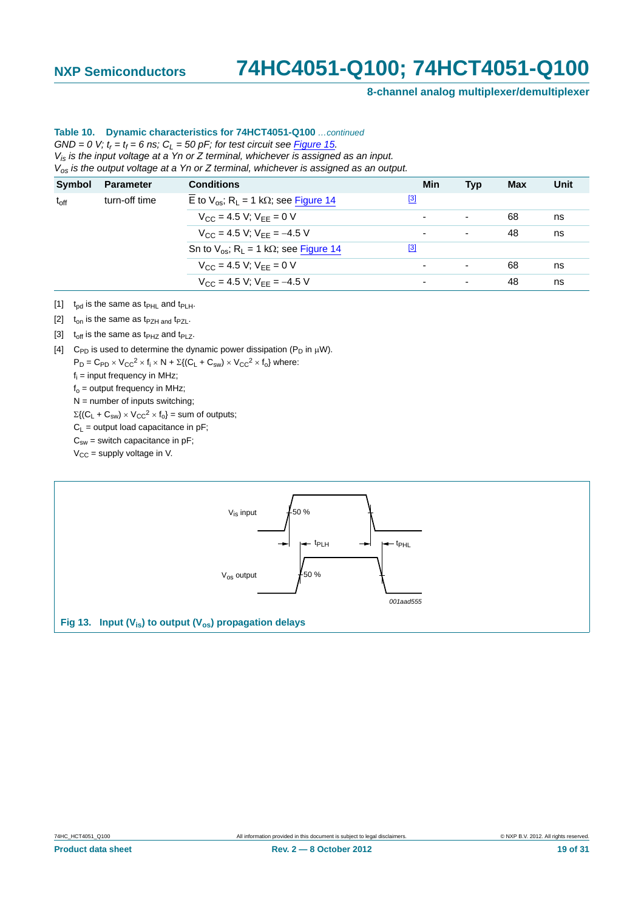**8-channel analog multiplexer/demultiplexer**

#### **Table 10. Dynamic characteristics for 74HCT4051-Q100** *…continued*  $GND = 0$  V;  $t_r = t_f = 6$  ns;  $C_L = 50$  pF; for test circuit see **Figure 15.**

*Vis is the input voltage at a Yn or Z terminal, whichever is assigned as an input. Vos is the output voltage at a Yn or Z terminal, whichever is assigned as an output.*

| Symbol        | <b>Parameter</b> | <b>Conditions</b>                                                     | Min                      | <b>Typ</b>               | Max | Unit |
|---------------|------------------|-----------------------------------------------------------------------|--------------------------|--------------------------|-----|------|
| $t_{\rm off}$ | turn-off time    | E to $V_{\text{os}}$ ; R <sub>L</sub> = 1 k $\Omega$ ; see Figure 14  | $^{[3]}$                 |                          |     |      |
|               |                  | $V_{\text{CC}} = 4.5 \text{ V}; V_{\text{EE}} = 0 \text{ V}$          | $\overline{\phantom{0}}$ | ٠                        | 68  | ns   |
|               |                  | $V_{CC}$ = 4.5 V; $V_{FF}$ = -4.5 V                                   | $\overline{\phantom{0}}$ | $\overline{\phantom{a}}$ | 48  | ns   |
|               |                  | Sn to $V_{\text{os}}$ ; R <sub>1</sub> = 1 k $\Omega$ ; see Figure 14 | $[3]$                    |                          |     |      |
|               |                  | $V_{CC} = 4.5 V$ ; $V_{FF} = 0 V$                                     | $\overline{\phantom{0}}$ | $\overline{\phantom{a}}$ | 68  | ns   |
|               |                  | $V_{CC}$ = 4.5 V; $V_{FF}$ = -4.5 V                                   | $\blacksquare$           | $\overline{\phantom{a}}$ | 48  | ns   |
|               |                  |                                                                       |                          |                          |     |      |

- <span id="page-18-1"></span>[1]  $t_{\text{nd}}$  is the same as  $t_{\text{PHL}}$  and  $t_{\text{PIH}}$ .
- <span id="page-18-2"></span>[2]  $t_{on}$  is the same as t<sub>PZH and</sub> t<sub>PZL</sub>.
- <span id="page-18-3"></span>[3]  $t_{off}$  is the same as  $t_{PHZ}$  and  $t_{PLZ}$ .
- <span id="page-18-4"></span>[4] C<sub>PD</sub> is used to determine the dynamic power dissipation (P<sub>D</sub> in  $\mu$ W).

 $P_D = C_{PD} \times V_{CC}^2 \times f_i \times N + \Sigma \{ (C_L + C_{sw}) \times V_{CC}^2 \times f_0 \}$  where: f<sub>i</sub> = input frequency in MHz;

 $f_0$  = output frequency in MHz;

 $N =$  number of inputs switching;

 $\Sigma\{(\mathsf{C}_\mathsf{L} + \mathsf{C}_{\mathsf{sw}}) \times \mathsf{V}_{\mathsf{CC}}^2 \times \mathsf{f}_{\mathsf{o}}\} = \mathsf{sum}$  of outputs;

 $C_L$  = output load capacitance in pF;

 $C_{sw}$  = switch capacitance in pF;

 $V_{CC}$  = supply voltage in V.

<span id="page-18-0"></span>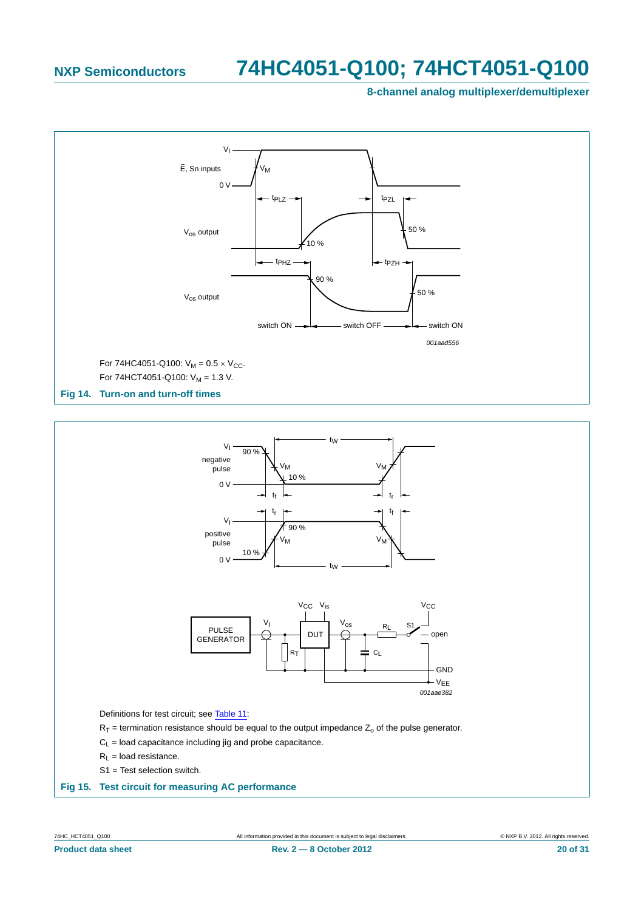**8-channel analog multiplexer/demultiplexer**



<span id="page-19-1"></span>

- $C_L$  = load capacitance including jig and probe capacitance.
- $R_1$  = load resistance.
- S1 = Test selection switch.

#### <span id="page-19-0"></span>**Fig 15. Test circuit for measuring AC performance**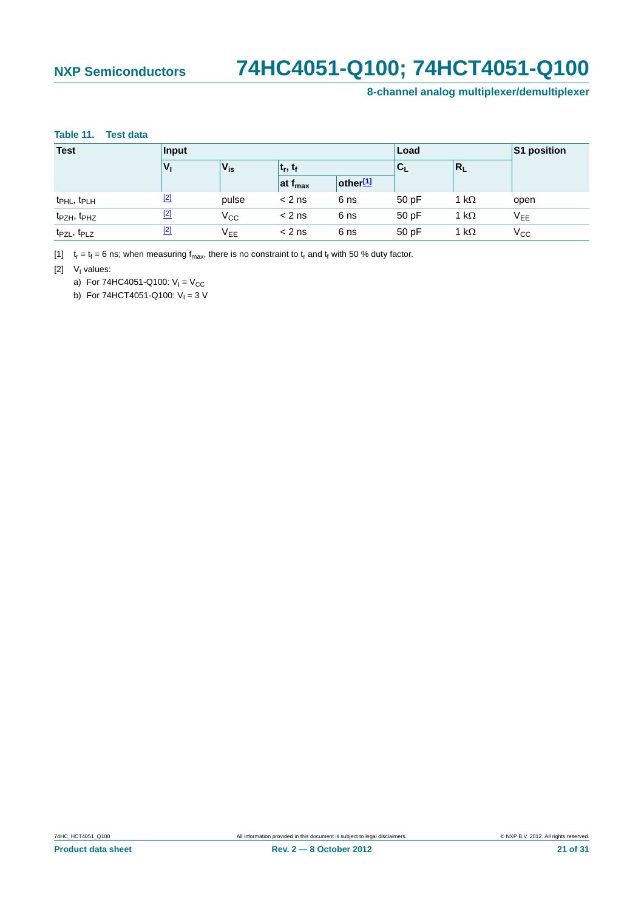### **8-channel analog multiplexer/demultiplexer**

#### <span id="page-20-0"></span>**Table 11. Test data**

| <b>Test</b>                         | Input   | Load                    |                     |                      |       |              | S1 position     |
|-------------------------------------|---------|-------------------------|---------------------|----------------------|-------|--------------|-----------------|
|                                     | $V_{1}$ | $V_{is}$<br>$ t_r, t_f$ |                     | $C_L$                | $R_L$ |              |                 |
|                                     |         |                         | at f <sub>max</sub> | other <sup>[1]</sup> |       |              |                 |
| t <sub>PHL</sub> , t <sub>PLH</sub> | $[2]$   | pulse                   | $< 2$ ns            | 6 ns                 | 50 pF | 1 k $\Omega$ | open            |
| t <sub>PZH</sub> , t <sub>PHZ</sub> | $[2]$   | $V_{CC}$                | $< 2$ ns            | 6 ns                 | 50 pF | 1 k $\Omega$ | V <sub>EE</sub> |
| t <sub>PZL</sub> , t <sub>PLZ</sub> | $[2]$   | V <sub>EE</sub>         | $< 2$ ns            | 6 ns                 | 50 pF | 1 k $\Omega$ | $V_{\rm CC}$    |

<span id="page-20-1"></span>[1]  $t_r = t_f = 6$  ns; when measuring  $f_{max}$ , there is no constraint to  $t_r$  and  $t_f$  with 50 % duty factor.

<span id="page-20-2"></span> $[2]$  V<sub>I</sub> values:

a) For 74HC4051-Q100:  $V_1 = V_{CC}$ 

b) For 74HCT4051-Q100:  $V_1 = 3$  V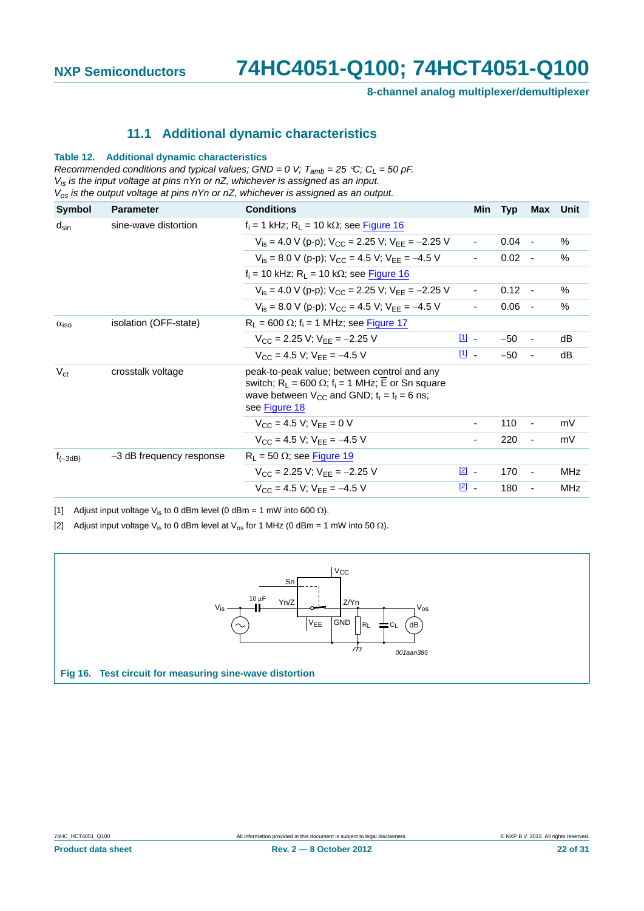**8-channel analog multiplexer/demultiplexer**

#### **11.1 Additional dynamic characteristics**

#### <span id="page-21-3"></span>**Table 12. Additional dynamic characteristics**

*Recommended conditions and typical values; GND = 0 V;*  $T_{amb}$  *= 25 °C; C<sub>L</sub> = 50 pF. Vis is the input voltage at pins nYn or nZ, whichever is assigned as an input. Vos is the output voltage at pins nYn or nZ, whichever is assigned as an output.*

| <b>Symbol</b>      | <b>Parameter</b>         | <b>Conditions</b>                                                                                                                                                                | Min            | <b>Typ</b> | Max                      | Unit          |
|--------------------|--------------------------|----------------------------------------------------------------------------------------------------------------------------------------------------------------------------------|----------------|------------|--------------------------|---------------|
| $d_{\text{sin}}$   | sine-wave distortion     | $f_i = 1$ kHz; $R_L = 10$ k $\Omega$ ; see Figure 16                                                                                                                             |                |            |                          |               |
|                    |                          | $V_{is} = 4.0$ V (p-p); $V_{CC} = 2.25$ V; $V_{FF} = -2.25$ V                                                                                                                    | $\blacksquare$ | $0.04 -$   |                          | %             |
|                    |                          | $V_{is}$ = 8.0 V (p-p); $V_{CC}$ = 4.5 V; $V_{FF}$ = -4.5 V                                                                                                                      | $\blacksquare$ | $0.02 -$   |                          | $\frac{0}{0}$ |
|                    |                          | $f_i = 10$ kHz; $R_i = 10$ k $\Omega$ ; see Figure 16                                                                                                                            |                |            |                          |               |
|                    |                          | $V_{is}$ = 4.0 V (p-p); $V_{CC}$ = 2.25 V; $V_{FF}$ = -2.25 V                                                                                                                    | $\blacksquare$ | $0.12 -$   |                          | $\%$          |
|                    |                          | $V_{is}$ = 8.0 V (p-p); $V_{CC}$ = 4.5 V; $V_{EE}$ = -4.5 V                                                                                                                      |                | 0.06       |                          | $\%$          |
| $\alpha_{\rm iso}$ | isolation (OFF-state)    | $R_1$ = 600 $\Omega$ ; f <sub>i</sub> = 1 MHz; see Figure 17                                                                                                                     |                |            |                          |               |
|                    |                          | $V_{CC}$ = 2.25 V; $V_{FF}$ = -2.25 V                                                                                                                                            | $\mathbf{1}$ . | $-50$      |                          | dB            |
|                    |                          | $V_{CC}$ = 4.5 V; $V_{FF}$ = -4.5 V                                                                                                                                              | $\boxed{1}$    | $-50$      |                          | dB            |
| $V_{\rm ct}$       | crosstalk voltage        | peak-to-peak value; between control and any<br>switch; $R_L = 600 \Omega$ ; $f_i = 1$ MHz; E or Sn square<br>wave between $V_{CC}$ and GND; $t_r = t_f = 6$ ns;<br>see Figure 18 |                |            |                          |               |
|                    |                          | $V_{CC}$ = 4.5 V; $V_{FF}$ = 0 V                                                                                                                                                 |                | 110        | $\overline{\phantom{a}}$ | mV            |
|                    |                          | $V_{CC}$ = 4.5 V; $V_{FF}$ = -4.5 V                                                                                                                                              |                | 220        | $\overline{\phantom{a}}$ | mV            |
| $f_{(-3dB)}$       | -3 dB frequency response | $R_L$ = 50 $\Omega$ ; see Figure 19                                                                                                                                              |                |            |                          |               |
|                    |                          | $V_{CC}$ = 2.25 V; $V_{FF}$ = -2.25 V                                                                                                                                            | $\boxed{2}$ -  | 170        |                          | MHz           |
|                    |                          | $V_{CC}$ = 4.5 V; $V_{FF}$ = -4.5 V                                                                                                                                              | $\boxed{2}$ -  | 180        |                          | <b>MHz</b>    |

<span id="page-21-1"></span>[1] Adjust input voltage  $V_{is}$  to 0 dBm level (0 dBm = 1 mW into 600  $\Omega$ ).

<span id="page-21-2"></span>[2] Adjust input voltage V<sub>is</sub> to 0 dBm level at V<sub>os</sub> for 1 MHz (0 dBm = 1 mW into 50  $\Omega$ ).

<span id="page-21-0"></span>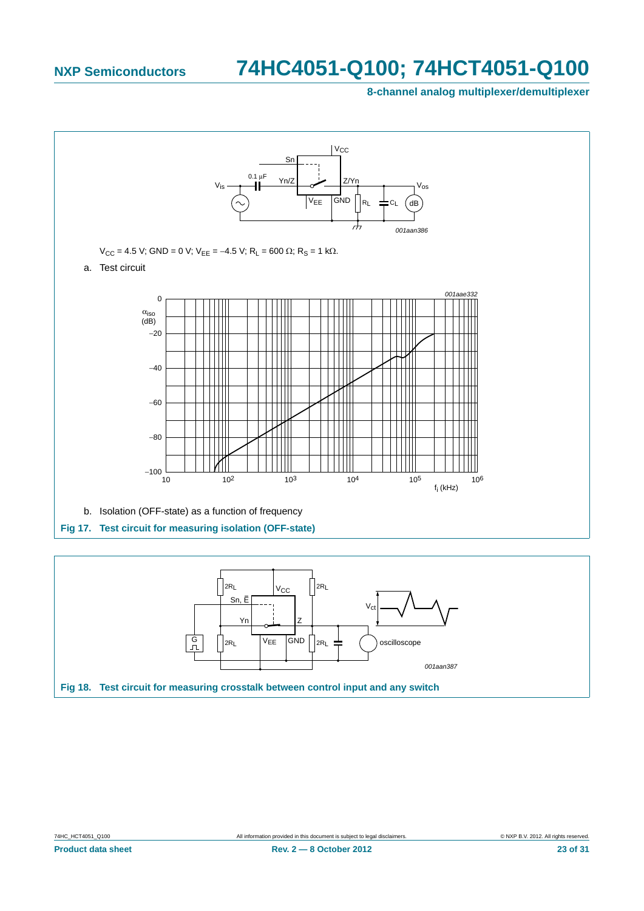**8-channel analog multiplexer/demultiplexer**



<span id="page-22-1"></span><span id="page-22-0"></span>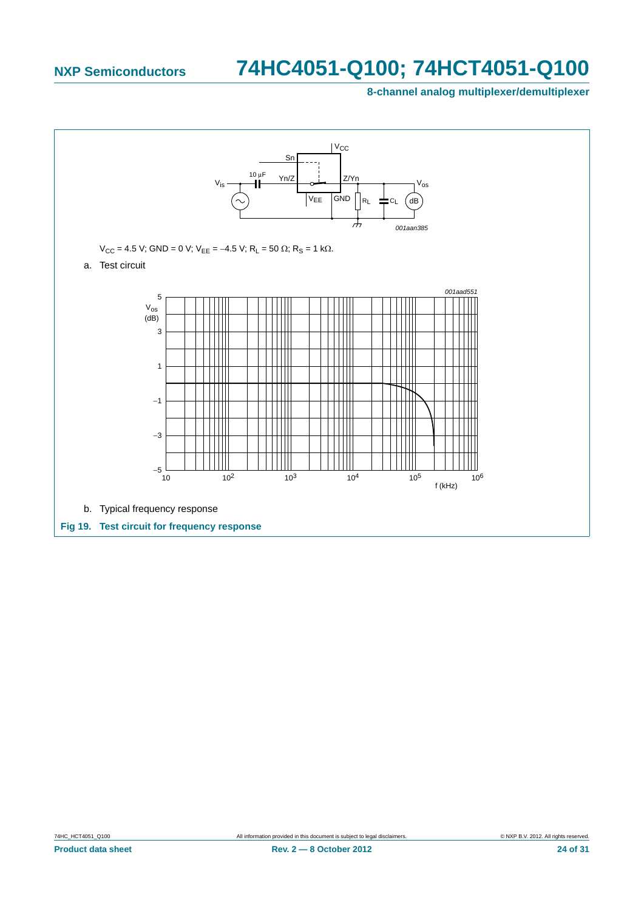**8-channel analog multiplexer/demultiplexer**

<span id="page-23-0"></span>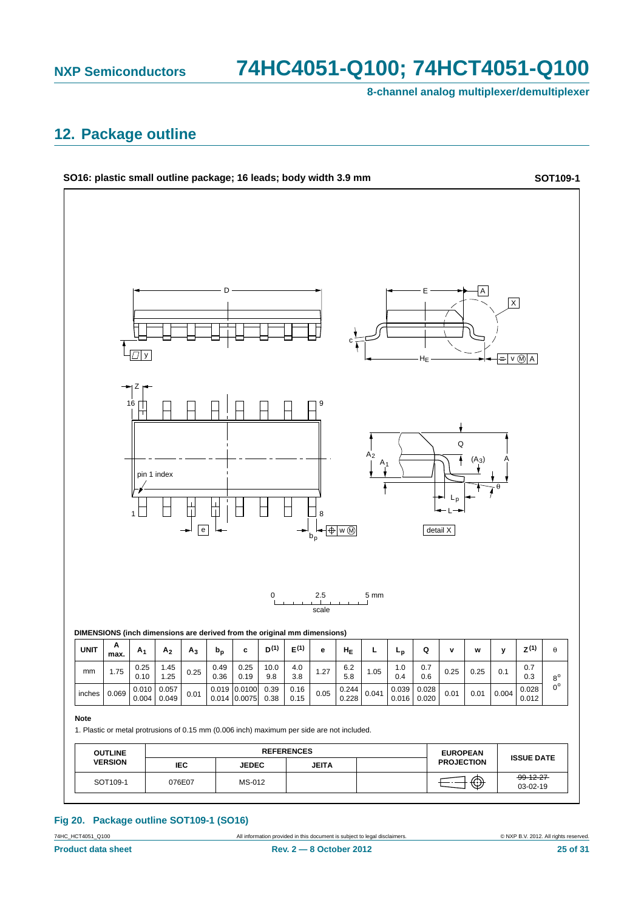**8-channel analog multiplexer/demultiplexer**

### <span id="page-24-0"></span>**12. Package outline**



### **Fig 20. Package outline SOT109-1 (SO16)**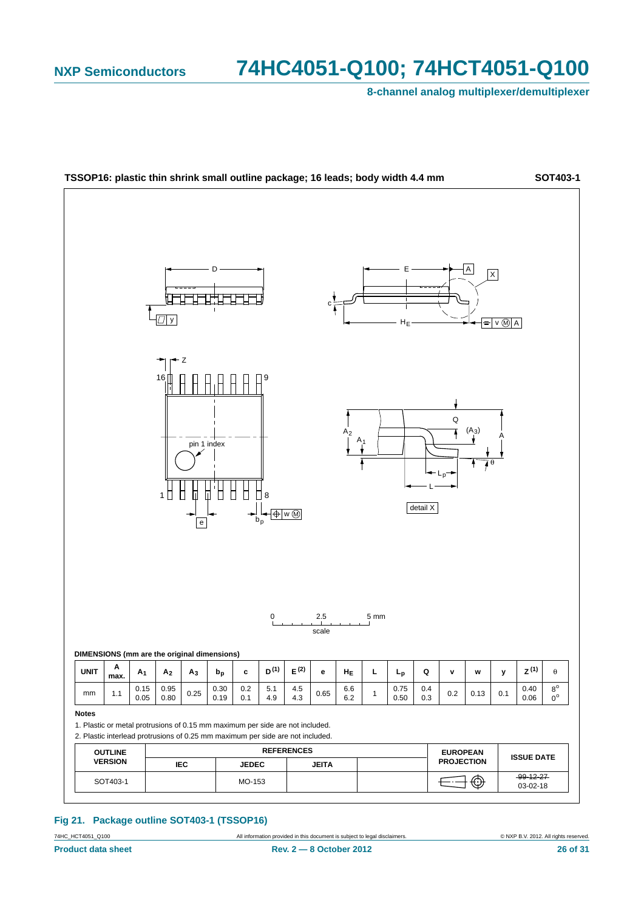**8-channel analog multiplexer/demultiplexer**



#### **Fig 21. Package outline SOT403-1 (TSSOP16)**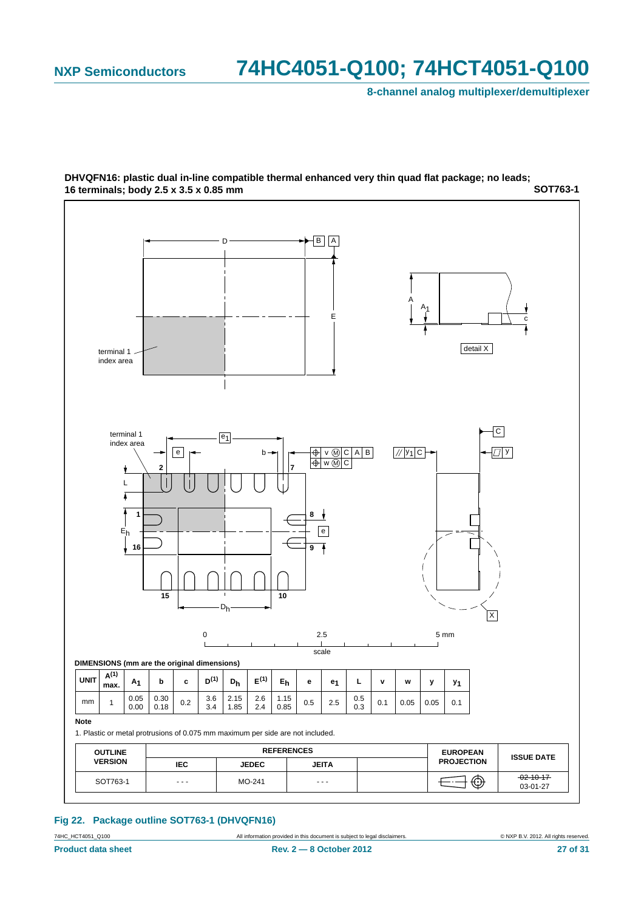**8-channel analog multiplexer/demultiplexer**



**SOT763-1 DHVQFN16: plastic dual in-line compatible thermal enhanced very thin quad flat package; no leads; 16 terminals; body 2.5 x 3.5 x 0.85 mm**

#### **Fig 22. Package outline SOT763-1 (DHVQFN16)**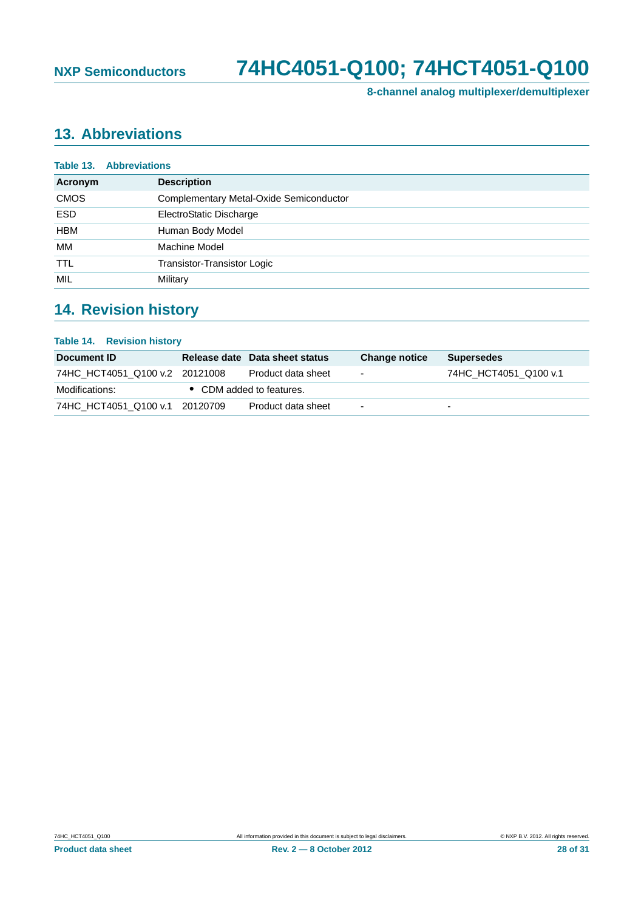**8-channel analog multiplexer/demultiplexer**

### <span id="page-27-0"></span>**13. Abbreviations**

|             | <b>Table 13. Abbreviations</b>          |
|-------------|-----------------------------------------|
| Acronym     | <b>Description</b>                      |
| <b>CMOS</b> | Complementary Metal-Oxide Semiconductor |
| <b>ESD</b>  | ElectroStatic Discharge                 |
| <b>HBM</b>  | Human Body Model                        |
| МM          | Machine Model                           |
| <b>TTL</b>  | Transistor-Transistor Logic             |
| MIL         | Military                                |

### <span id="page-27-1"></span>**14. Revision history**

| <b>Table 14. Revision history</b> |                                |                          |                          |
|-----------------------------------|--------------------------------|--------------------------|--------------------------|
| Document ID                       | Release date Data sheet status | <b>Change notice</b>     | <b>Supersedes</b>        |
| 74HC HCT4051 Q100 v.2 20121008    | Product data sheet             | ۰                        | 74HC HCT4051 Q100 v.1    |
| Modifications:                    | • CDM added to features.       |                          |                          |
| 74HC HCT4051 Q100 v.1 20120709    | Product data sheet             | $\overline{\phantom{0}}$ | $\overline{\phantom{0}}$ |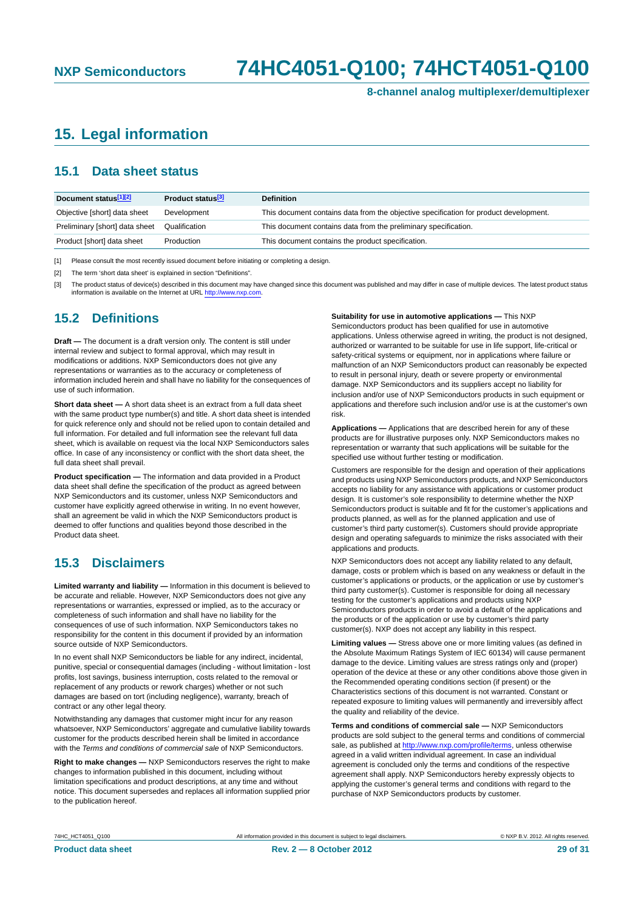**8-channel analog multiplexer/demultiplexer**

### <span id="page-28-0"></span>**15. Legal information**

#### <span id="page-28-1"></span>**15.1 Data sheet status**

| Document status[1][2]          | Product status <sup>[3]</sup> | <b>Definition</b>                                                                     |
|--------------------------------|-------------------------------|---------------------------------------------------------------------------------------|
| Objective [short] data sheet   | Development                   | This document contains data from the objective specification for product development. |
| Preliminary [short] data sheet | Qualification                 | This document contains data from the preliminary specification.                       |
| Product [short] data sheet     | Production                    | This document contains the product specification.                                     |

[1] Please consult the most recently issued document before initiating or completing a design.

[2] The term 'short data sheet' is explained in section "Definitions".

[3] The product status of device(s) described in this document may have changed since this document was published and may differ in case of multiple devices. The latest product status<br>information is available on the Intern

#### <span id="page-28-2"></span>**15.2 Definitions**

**Draft —** The document is a draft version only. The content is still under internal review and subject to formal approval, which may result in modifications or additions. NXP Semiconductors does not give any representations or warranties as to the accuracy or completeness of information included herein and shall have no liability for the consequences of use of such information.

**Short data sheet —** A short data sheet is an extract from a full data sheet with the same product type number(s) and title. A short data sheet is intended for quick reference only and should not be relied upon to contain detailed and full information. For detailed and full information see the relevant full data sheet, which is available on request via the local NXP Semiconductors sales office. In case of any inconsistency or conflict with the short data sheet, the full data sheet shall prevail.

**Product specification —** The information and data provided in a Product data sheet shall define the specification of the product as agreed between NXP Semiconductors and its customer, unless NXP Semiconductors and customer have explicitly agreed otherwise in writing. In no event however, shall an agreement be valid in which the NXP Semiconductors product is deemed to offer functions and qualities beyond those described in the Product data sheet.

#### <span id="page-28-3"></span>**15.3 Disclaimers**

**Limited warranty and liability —** Information in this document is believed to be accurate and reliable. However, NXP Semiconductors does not give any representations or warranties, expressed or implied, as to the accuracy or completeness of such information and shall have no liability for the consequences of use of such information. NXP Semiconductors takes no responsibility for the content in this document if provided by an information source outside of NXP Semiconductors.

In no event shall NXP Semiconductors be liable for any indirect, incidental, punitive, special or consequential damages (including - without limitation - lost profits, lost savings, business interruption, costs related to the removal or replacement of any products or rework charges) whether or not such damages are based on tort (including negligence), warranty, breach of contract or any other legal theory.

Notwithstanding any damages that customer might incur for any reason whatsoever, NXP Semiconductors' aggregate and cumulative liability towards customer for the products described herein shall be limited in accordance with the *Terms and conditions of commercial sale* of NXP Semiconductors.

**Right to make changes —** NXP Semiconductors reserves the right to make changes to information published in this document, including without limitation specifications and product descriptions, at any time and without notice. This document supersedes and replaces all information supplied prior to the publication hereof.

#### **Suitability for use in automotive applications —** This NXP

Semiconductors product has been qualified for use in automotive applications. Unless otherwise agreed in writing, the product is not designed, authorized or warranted to be suitable for use in life support, life-critical or safety-critical systems or equipment, nor in applications where failure or malfunction of an NXP Semiconductors product can reasonably be expected to result in personal injury, death or severe property or environmental damage. NXP Semiconductors and its suppliers accept no liability for inclusion and/or use of NXP Semiconductors products in such equipment or applications and therefore such inclusion and/or use is at the customer's own risk.

**Applications —** Applications that are described herein for any of these products are for illustrative purposes only. NXP Semiconductors makes no representation or warranty that such applications will be suitable for the specified use without further testing or modification.

Customers are responsible for the design and operation of their applications and products using NXP Semiconductors products, and NXP Semiconductors accepts no liability for any assistance with applications or customer product design. It is customer's sole responsibility to determine whether the NXP Semiconductors product is suitable and fit for the customer's applications and products planned, as well as for the planned application and use of customer's third party customer(s). Customers should provide appropriate design and operating safeguards to minimize the risks associated with their applications and products.

NXP Semiconductors does not accept any liability related to any default, damage, costs or problem which is based on any weakness or default in the customer's applications or products, or the application or use by customer's third party customer(s). Customer is responsible for doing all necessary testing for the customer's applications and products using NXP Semiconductors products in order to avoid a default of the applications and the products or of the application or use by customer's third party customer(s). NXP does not accept any liability in this respect.

**Limiting values —** Stress above one or more limiting values (as defined in the Absolute Maximum Ratings System of IEC 60134) will cause permanent damage to the device. Limiting values are stress ratings only and (proper) operation of the device at these or any other conditions above those given in the Recommended operating conditions section (if present) or the Characteristics sections of this document is not warranted. Constant or repeated exposure to limiting values will permanently and irreversibly affect the quality and reliability of the device.

**Terms and conditions of commercial sale —** NXP Semiconductors products are sold subject to the general terms and conditions of commercial sale, as published at<http://www.nxp.com/profile/terms>, unless otherwise agreed in a valid written individual agreement. In case an individual agreement is concluded only the terms and conditions of the respective agreement shall apply. NXP Semiconductors hereby expressly objects to applying the customer's general terms and conditions with regard to the purchase of NXP Semiconductors products by customer.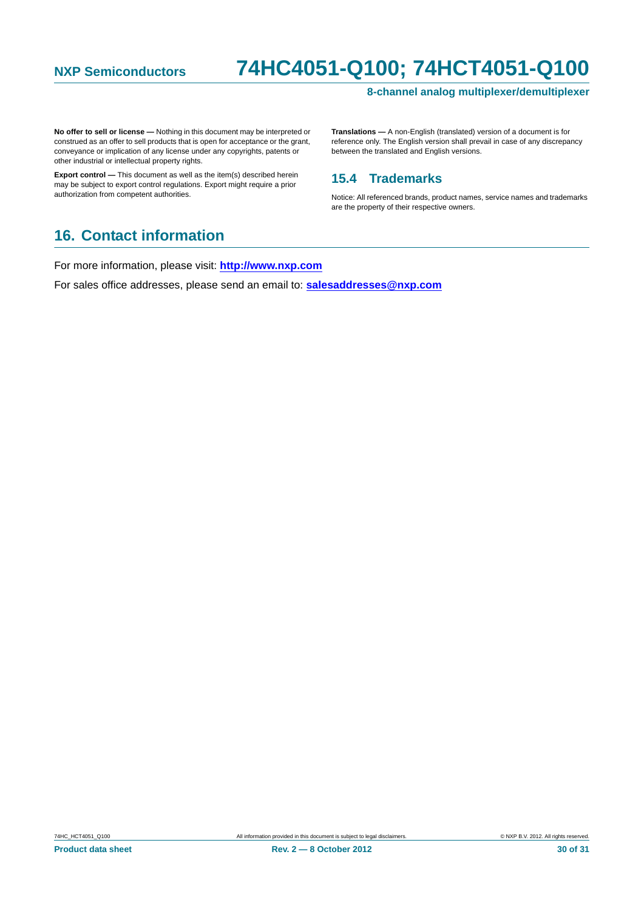#### **8-channel analog multiplexer/demultiplexer**

**No offer to sell or license —** Nothing in this document may be interpreted or construed as an offer to sell products that is open for acceptance or the grant, conveyance or implication of any license under any copyrights, patents or other industrial or intellectual property rights.

**Export control —** This document as well as the item(s) described herein may be subject to export control regulations. Export might require a prior authorization from competent authorities.

**Translations —** A non-English (translated) version of a document is for reference only. The English version shall prevail in case of any discrepancy between the translated and English versions.

#### <span id="page-29-0"></span>**15.4 Trademarks**

Notice: All referenced brands, product names, service names and trademarks are the property of their respective owners.

### <span id="page-29-1"></span>**16. Contact information**

For more information, please visit: **http://www.nxp.com**

For sales office addresses, please send an email to: **salesaddresses@nxp.com**